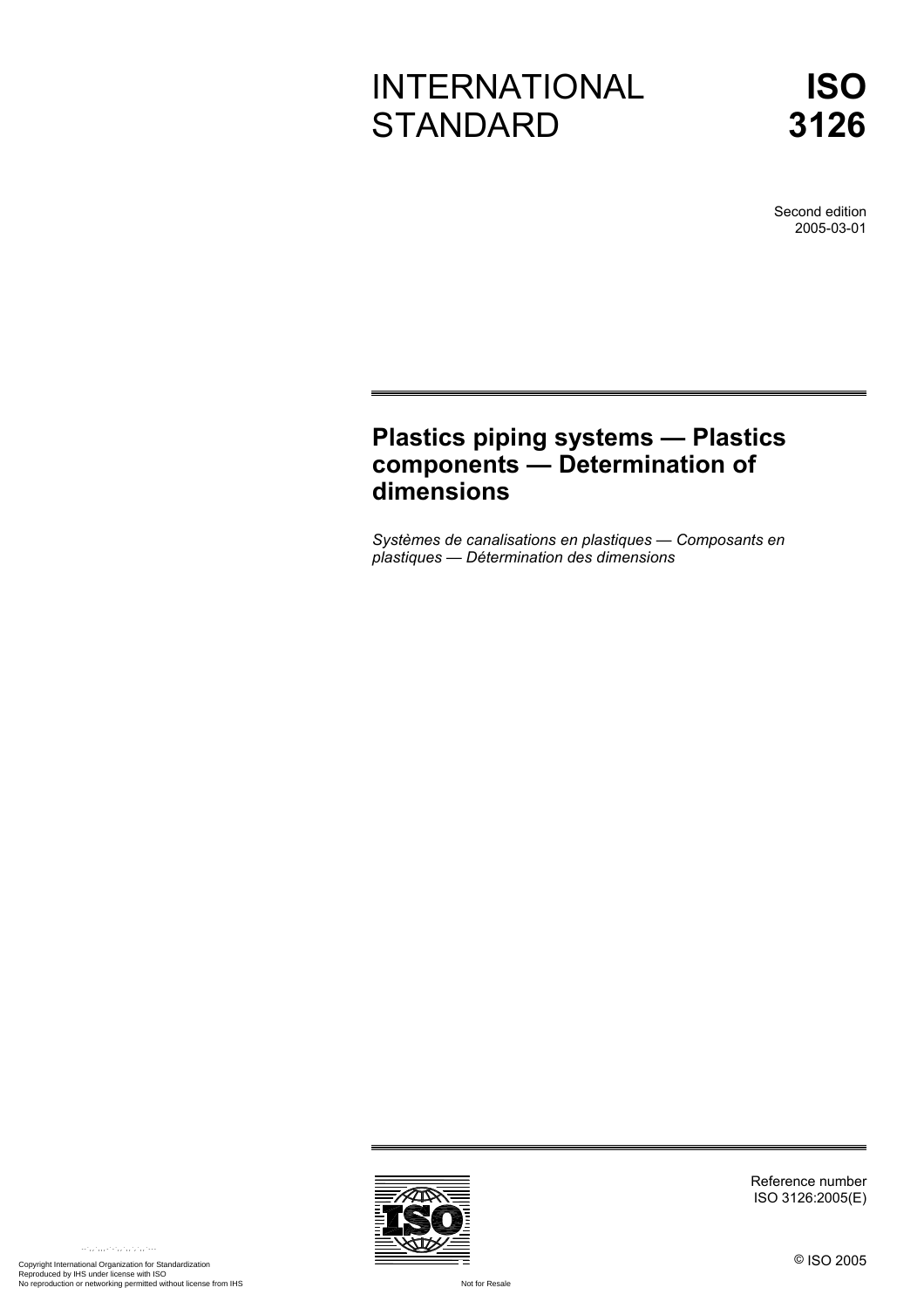# INTERNATIONAL **STANDARD**

**ISO 3126**

Second edition 2005-03-01

# **Plastics piping systems — Plastics components — Determination of dimensions**

*Systèmes de canalisations en plastiques — Composants en plastiques — Détermination des dimensions* 



Reference number ISO 3126:2005(E)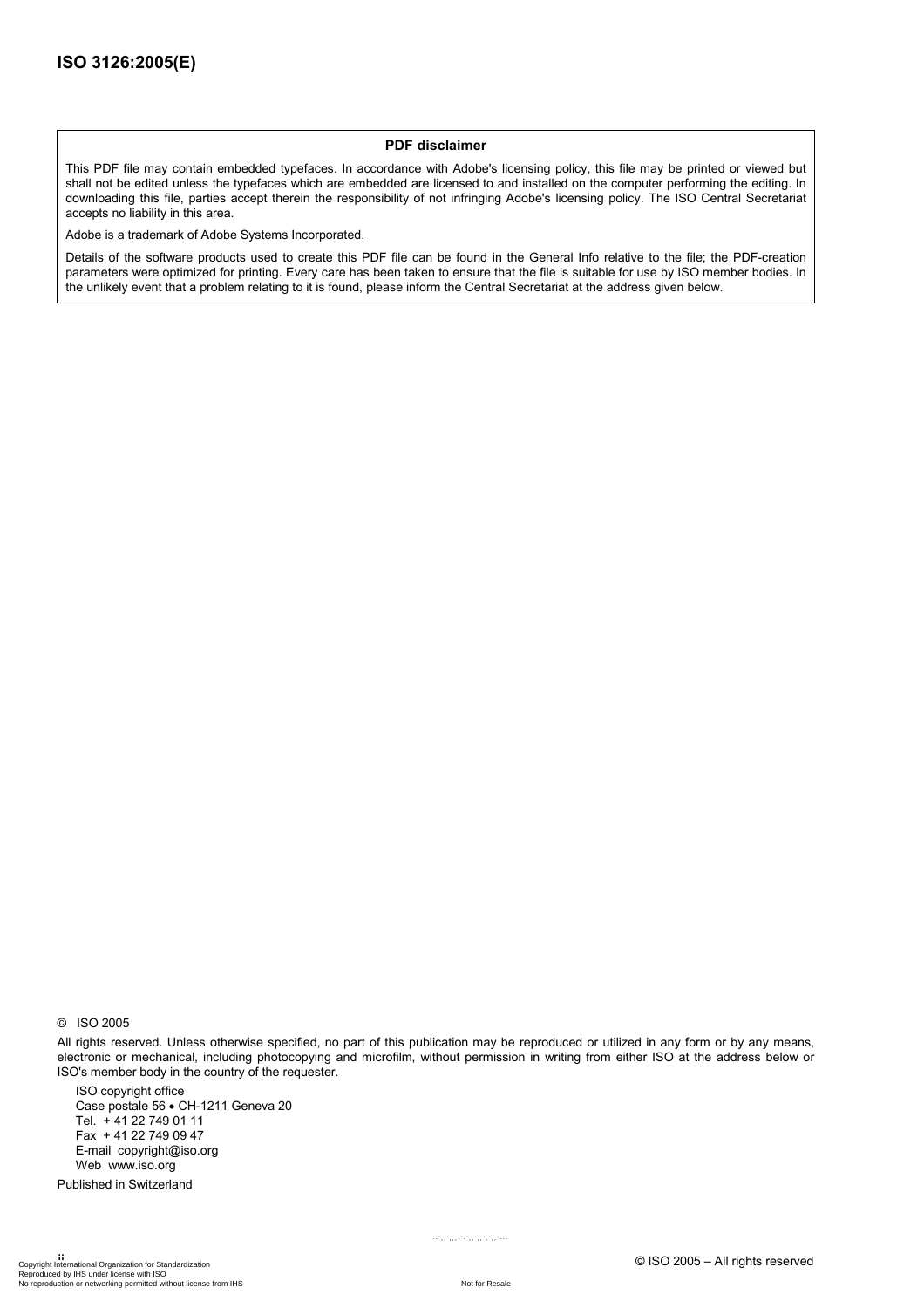#### **PDF disclaimer**

This PDF file may contain embedded typefaces. In accordance with Adobe's licensing policy, this file may be printed or viewed but shall not be edited unless the typefaces which are embedded are licensed to and installed on the computer performing the editing. In downloading this file, parties accept therein the responsibility of not infringing Adobe's licensing policy. The ISO Central Secretariat accepts no liability in this area.

Adobe is a trademark of Adobe Systems Incorporated.

Details of the software products used to create this PDF file can be found in the General Info relative to the file; the PDF-creation parameters were optimized for printing. Every care has been taken to ensure that the file is suitable for use by ISO member bodies. In the unlikely event that a problem relating to it is found, please inform the Central Secretariat at the address given below.

© ISO 2005

All rights reserved. Unless otherwise specified, no part of this publication may be reproduced or utilized in any form or by any means, electronic or mechanical, including photocopying and microfilm, without permission in writing from either ISO at the address below or ISO's member body in the country of the requester.

ISO copyright office Case postale 56 • CH-1211 Geneva 20 Tel. + 41 22 749 01 11 Fax + 41 22 749 09 47 E-mail copyright@iso.org Web www.iso.org

Published in Switzerland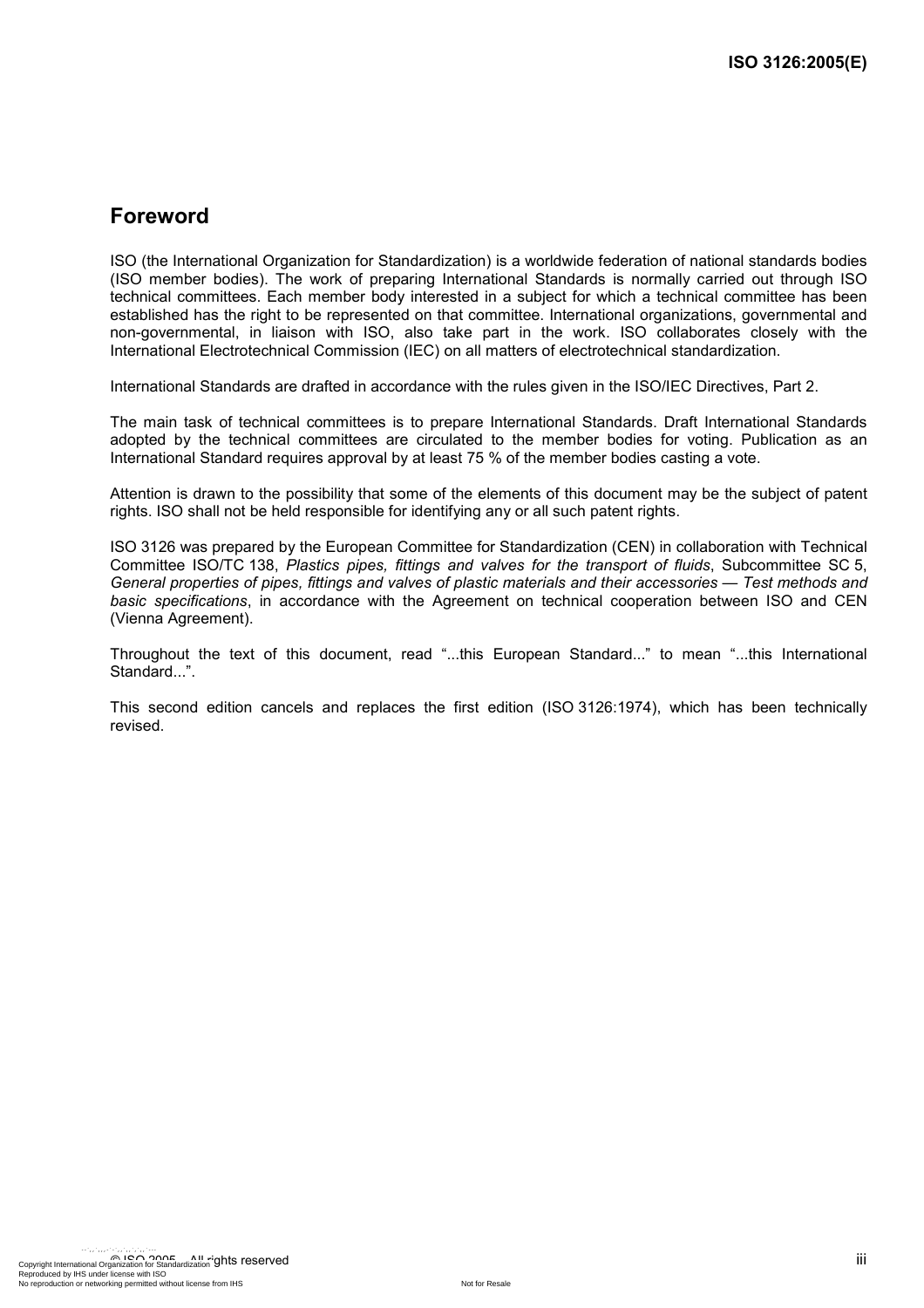### **Foreword**

ISO (the International Organization for Standardization) is a worldwide federation of national standards bodies (ISO member bodies). The work of preparing International Standards is normally carried out through ISO technical committees. Each member body interested in a subject for which a technical committee has been established has the right to be represented on that committee. International organizations, governmental and non-governmental, in liaison with ISO, also take part in the work. ISO collaborates closely with the International Electrotechnical Commission (IEC) on all matters of electrotechnical standardization.

International Standards are drafted in accordance with the rules given in the ISO/IEC Directives, Part 2.

The main task of technical committees is to prepare International Standards. Draft International Standards adopted by the technical committees are circulated to the member bodies for voting. Publication as an International Standard requires approval by at least 75 % of the member bodies casting a vote.

Attention is drawn to the possibility that some of the elements of this document may be the subject of patent rights. ISO shall not be held responsible for identifying any or all such patent rights.

ISO 3126 was prepared by the European Committee for Standardization (CEN) in collaboration with Technical Committee ISO/TC 138, *Plastics pipes, fittings and valves for the transport of fluids*, Subcommittee SC 5, *General properties of pipes, fittings and valves of plastic materials and their accessories — Test methods and basic specifications*, in accordance with the Agreement on technical cooperation between ISO and CEN (Vienna Agreement).

Throughout the text of this document, read "...this European Standard..." to mean "...this International Standard...".

This second edition cancels and replaces the first edition (ISO 3126:1974), which has been technically revised.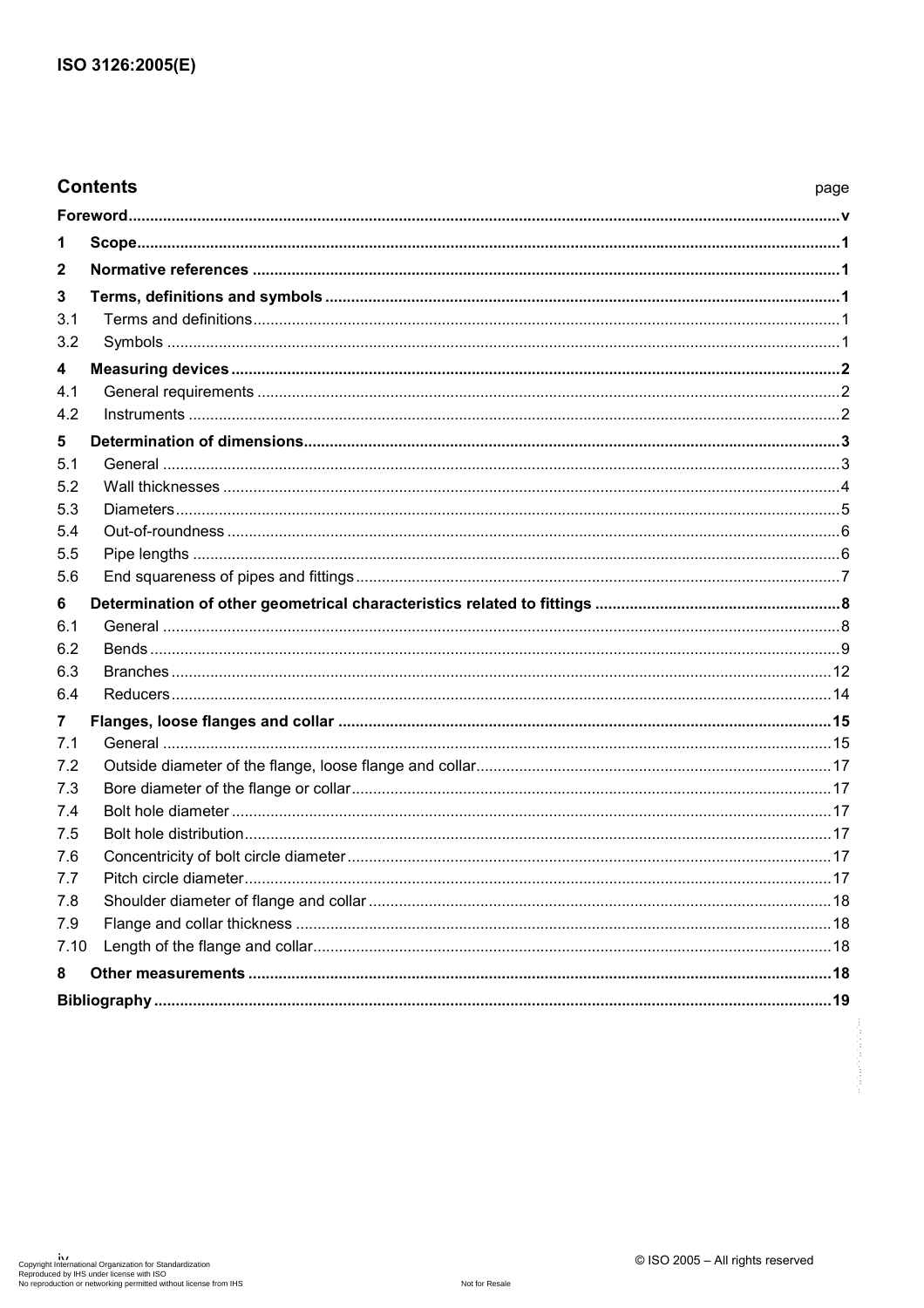| <b>Contents</b> | page |
|-----------------|------|
|                 |      |
| 1               |      |
| $\mathbf{2}$    |      |
| 3               |      |
| 3.1             |      |
| 3.2             |      |
| 4               |      |
| 4.1             |      |
| 4.2             |      |
| 5               |      |
| 5.1             |      |
| 5.2             |      |
| 5.3             |      |
| 5.4             |      |
| 5.5             |      |
| 5.6             |      |
| 6               |      |
| 6.1             |      |
| 6.2             |      |
| 6.3<br>6.4      |      |
|                 |      |
| 7<br>7.1        |      |
| 7.2             |      |
| 7.3             |      |
| 7.4             |      |
| 7.5             |      |
| 7.6             |      |
| 7.7             |      |
| 7.8             |      |
| 7.9             |      |
| 7.10            |      |
| 8               |      |
|                 |      |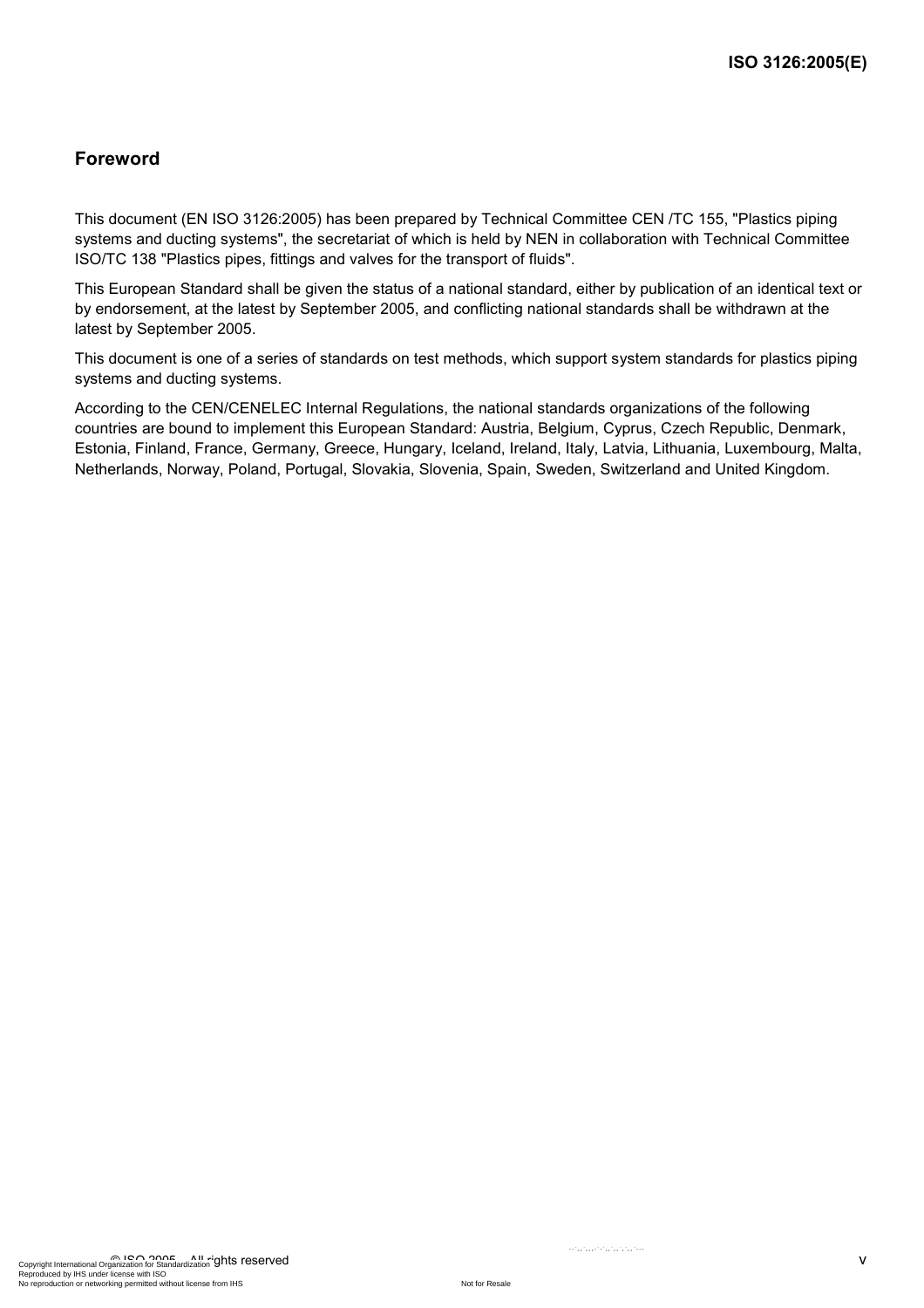### **Foreword**

This document (EN ISO 3126:2005) has been prepared by Technical Committee CEN /TC 155, "Plastics piping systems and ducting systems", the secretariat of which is held by NEN in collaboration with Technical Committee ISO/TC 138 "Plastics pipes, fittings and valves for the transport of fluids".

This European Standard shall be given the status of a national standard, either by publication of an identical text or by endorsement, at the latest by September 2005, and conflicting national standards shall be withdrawn at the latest by September 2005.

This document is one of a series of standards on test methods, which support system standards for plastics piping systems and ducting systems.

According to the CEN/CENELEC Internal Regulations, the national standards organizations of the following countries are bound to implement this European Standard: Austria, Belgium, Cyprus, Czech Republic, Denmark, Estonia, Finland, France, Germany, Greece, Hungary, Iceland, Ireland, Italy, Latvia, Lithuania, Luxembourg, Malta, Netherlands, Norway, Poland, Portugal, Slovakia, Slovenia, Spain, Sweden, Switzerland and United Kingdom.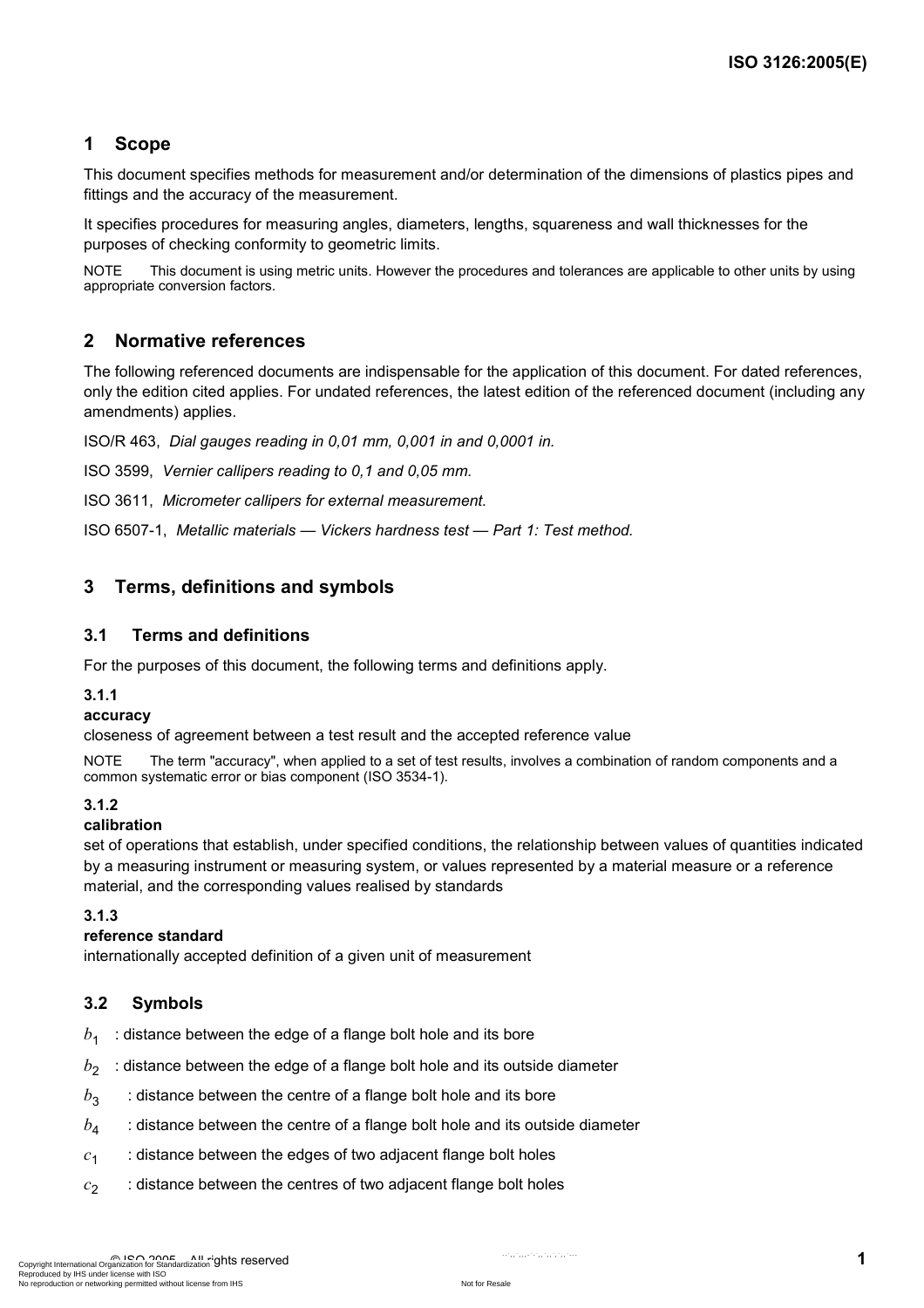### **1 Scope**

This document specifies methods for measurement and/or determination of the dimensions of plastics pipes and fittings and the accuracy of the measurement.

It specifies procedures for measuring angles, diameters, lengths, squareness and wall thicknesses for the purposes of checking conformity to geometric limits.

NOTE This document is using metric units. However the procedures and tolerances are applicable to other units by using appropriate conversion factors.

### **2 Normative references**

The following referenced documents are indispensable for the application of this document. For dated references, only the edition cited applies. For undated references, the latest edition of the referenced document (including any amendments) applies.

ISO/R 463, *Dial gauges reading in 0,01 mm, 0,001 in and 0,0001 in.*

ISO 3599, *Vernier callipers reading to 0,1 and 0,05 mm.*

ISO 3611, *Micrometer callipers for external measurement.* 

ISO 6507-1, *Metallic materials — Vickers hardness test — Part 1: Test method.* 

### **3 Terms, definitions and symbols**

#### **3.1 Terms and definitions**

For the purposes of this document, the following terms and definitions apply.

#### **3.1.1**

#### **accuracy**

closeness of agreement between a test result and the accepted reference value

NOTE The term "accuracy", when applied to a set of test results, involves a combination of random components and a common systematic error or bias component (ISO 3534-1).

#### **3.1.2**

#### **calibration**

set of operations that establish, under specified conditions, the relationship between values of quantities indicated by a measuring instrument or measuring system, or values represented by a material measure or a reference material, and the corresponding values realised by standards

#### **3.1.3**

#### **reference standard**

internationally accepted definition of a given unit of measurement

### **3.2 Symbols**

- $b_1$ : distance between the edge of a flange bolt hole and its bore
- $b_2$  : distance between the edge of a flange bolt hole and its outside diameter
- $b_3$  : distance between the centre of a flange bolt hole and its bore
- $b_4$  : distance between the centre of a flange bolt hole and its outside diameter
- $c_1$  : distance between the edges of two adjacent flange bolt holes
- $c_2$  : distance between the centres of two adjacent flange bolt holes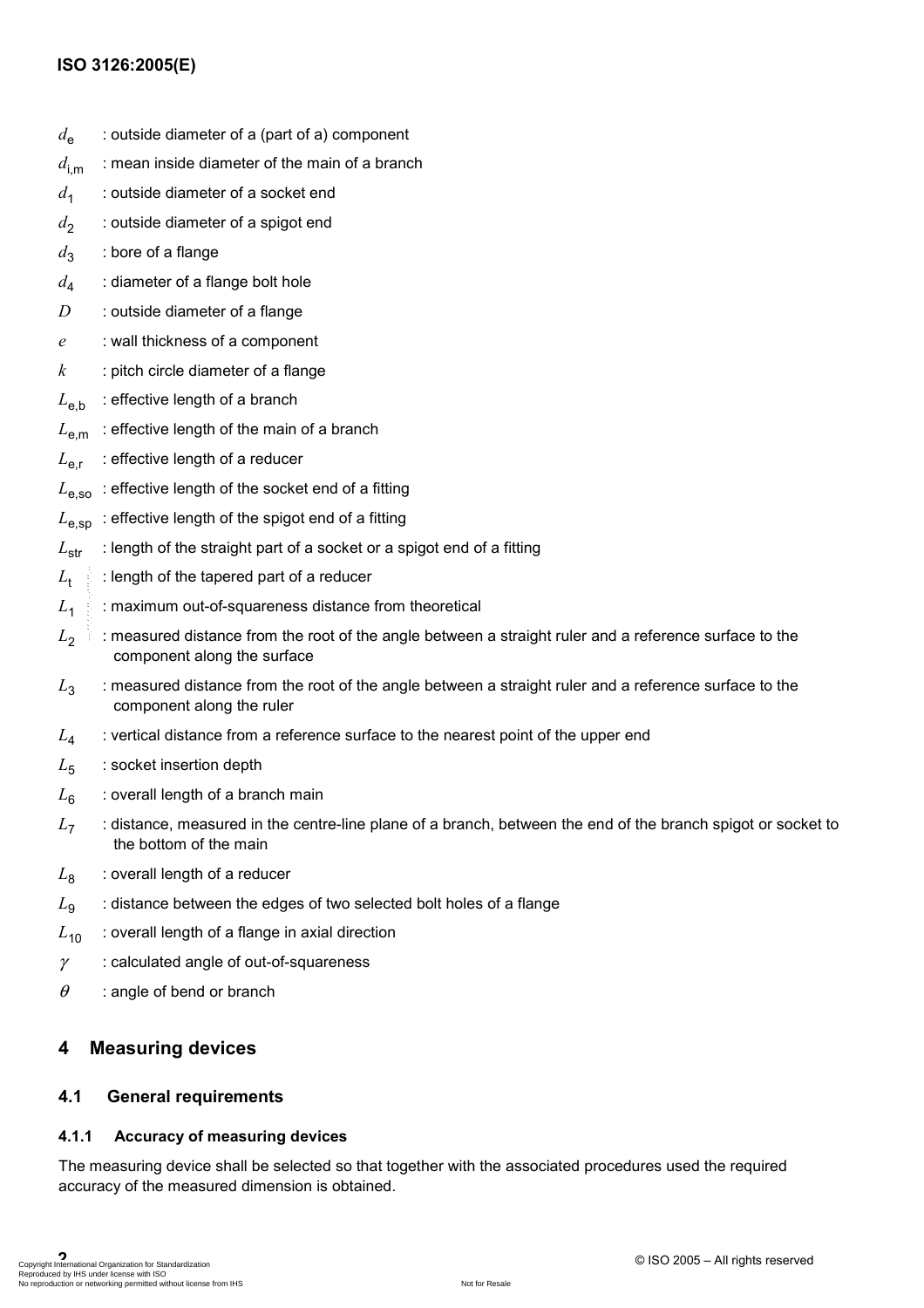### **ISO 3126:2005(E)**

- $d_{\mathsf{e}}$  : outside diameter of a (part of a) component
- $d_{\text{im}}$  : mean inside diameter of the main of a branch
- d<sub>1</sub> : outside diameter of a socket end
- $d_2$  : outside diameter of a spigot end
- $d_3$  : bore of a flange
- $d_4$  : diameter of a flange bolt hole
- *D* : outside diameter of a flange
- *e* : wall thickness of a component
- *k* : pitch circle diameter of a flange
- $L_{\text{eh}}$  : effective length of a branch
- $L_{\rm em}$  : effective length of the main of a branch
- $L_{\text{err}}$  : effective length of a reducer
- $L_{\text{e,so}}$ : effective length of the socket end of a fitting
- $L_{\text{e,}SD}$ : effective length of the spigot end of a fitting
- $L_{\text{str}}$  : length of the straight part of a socket or a spigot end of a fitting
- $L_{\rm t}$ : length of the tapered part of a reducer
- $L_1$  : maximum out-of-squareness distance from theoretical
- $L_2$  : measured distance from the root of the angle between a straight ruler and a reference surface to the component along the surface
- $L_3$  : measured distance from the root of the angle between a straight ruler and a reference surface to the component along the ruler
- L<sub>4</sub> : vertical distance from a reference surface to the nearest point of the upper end
- L<sub>5</sub> : socket insertion depth
- $L_6$  : overall length of a branch main
- *L*7 : distance, measured in the centre-line plane of a branch, between the end of the branch spigot or socket to the bottom of the main
- $L_8$  : overall length of a reducer
- $L<sub>9</sub>$  : distance between the edges of two selected bolt holes of a flange
- $L_{10}$  : overall length of a flange in axial direction
- $\gamma$  : calculated angle of out-of-squareness
- $\theta$  : angle of bend or branch

### **4 Measuring devices**

### **4.1 General requirements**

#### **4.1.1 Accuracy of measuring devices**

The measuring device shall be selected so that together with the associated procedures used the required accuracy of the measured dimension is obtained.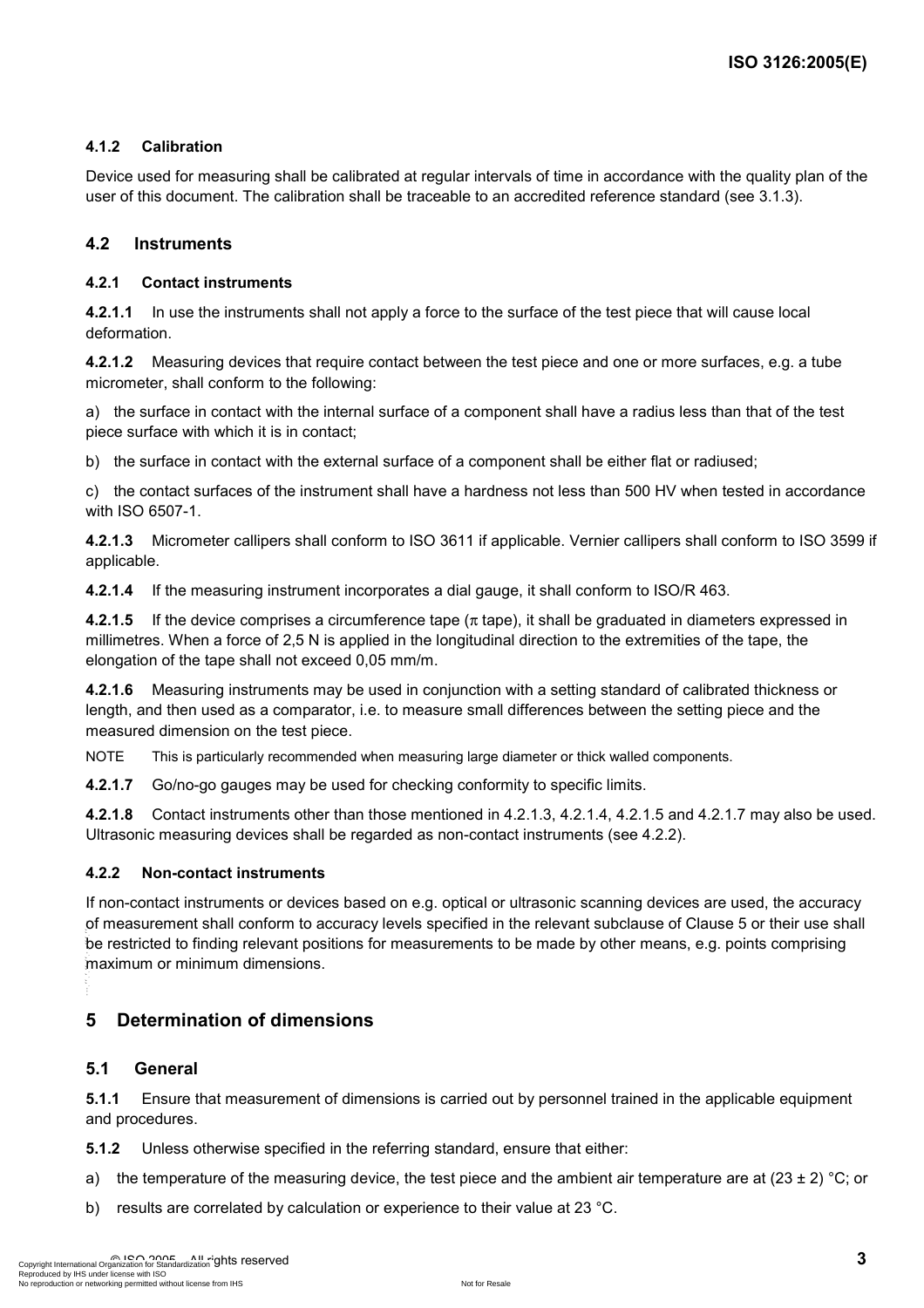### **4.1.2 Calibration**

Device used for measuring shall be calibrated at regular intervals of time in accordance with the quality plan of the user of this document. The calibration shall be traceable to an accredited reference standard (see 3.1.3).

#### **4.2 Instruments**

#### **4.2.1 Contact instruments**

**4.2.1.1** In use the instruments shall not apply a force to the surface of the test piece that will cause local deformation.

**4.2.1.2** Measuring devices that require contact between the test piece and one or more surfaces, e.g. a tube micrometer, shall conform to the following:

a) the surface in contact with the internal surface of a component shall have a radius less than that of the test piece surface with which it is in contact;

b) the surface in contact with the external surface of a component shall be either flat or radiused;

c) the contact surfaces of the instrument shall have a hardness not less than 500 HV when tested in accordance with ISO 6507-1.

**4.2.1.3** Micrometer callipers shall conform to ISO 3611 if applicable. Vernier callipers shall conform to ISO 3599 if applicable.

**4.2.1.4** If the measuring instrument incorporates a dial gauge, it shall conform to ISO/R 463.

**4.2.1.5** If the device comprises a circumference tape (π tape), it shall be graduated in diameters expressed in millimetres. When a force of 2,5 N is applied in the longitudinal direction to the extremities of the tape, the elongation of the tape shall not exceed 0,05 mm/m.

**4.2.1.6** Measuring instruments may be used in conjunction with a setting standard of calibrated thickness or length, and then used as a comparator, i.e. to measure small differences between the setting piece and the measured dimension on the test piece.

NOTE This is particularly recommended when measuring large diameter or thick walled components.

**4.2.1.7** Go/no-go gauges may be used for checking conformity to specific limits.

**4.2.1.8** Contact instruments other than those mentioned in 4.2.1.3, 4.2.1.4, 4.2.1.5 and 4.2.1.7 may also be used. Ultrasonic measuring devices shall be regarded as non-contact instruments (see 4.2.2).

#### **4.2.2 Non-contact instruments**

If non-contact instruments or devices based on e.g. optical or ultrasonic scanning devices are used, the accuracy of measurement shall conform to accuracy levels specified in the relevant subclause of Clause 5 or their use shall be restricted to finding relevant positions for measurements to be made by other means, e.g. points comprising maximum or minimum dimensions.  $\epsilon$ ,  $\epsilon$ 

### **5 Determination of dimensions**

#### **5.1 General**

**5.1.1** Ensure that measurement of dimensions is carried out by personnel trained in the applicable equipment and procedures.

**5.1.2** Unless otherwise specified in the referring standard, ensure that either:

- a) the temperature of the measuring device, the test piece and the ambient air temperature are at  $(23 \pm 2)$  °C; or
- b) results are correlated by calculation or experience to their value at 23 °C.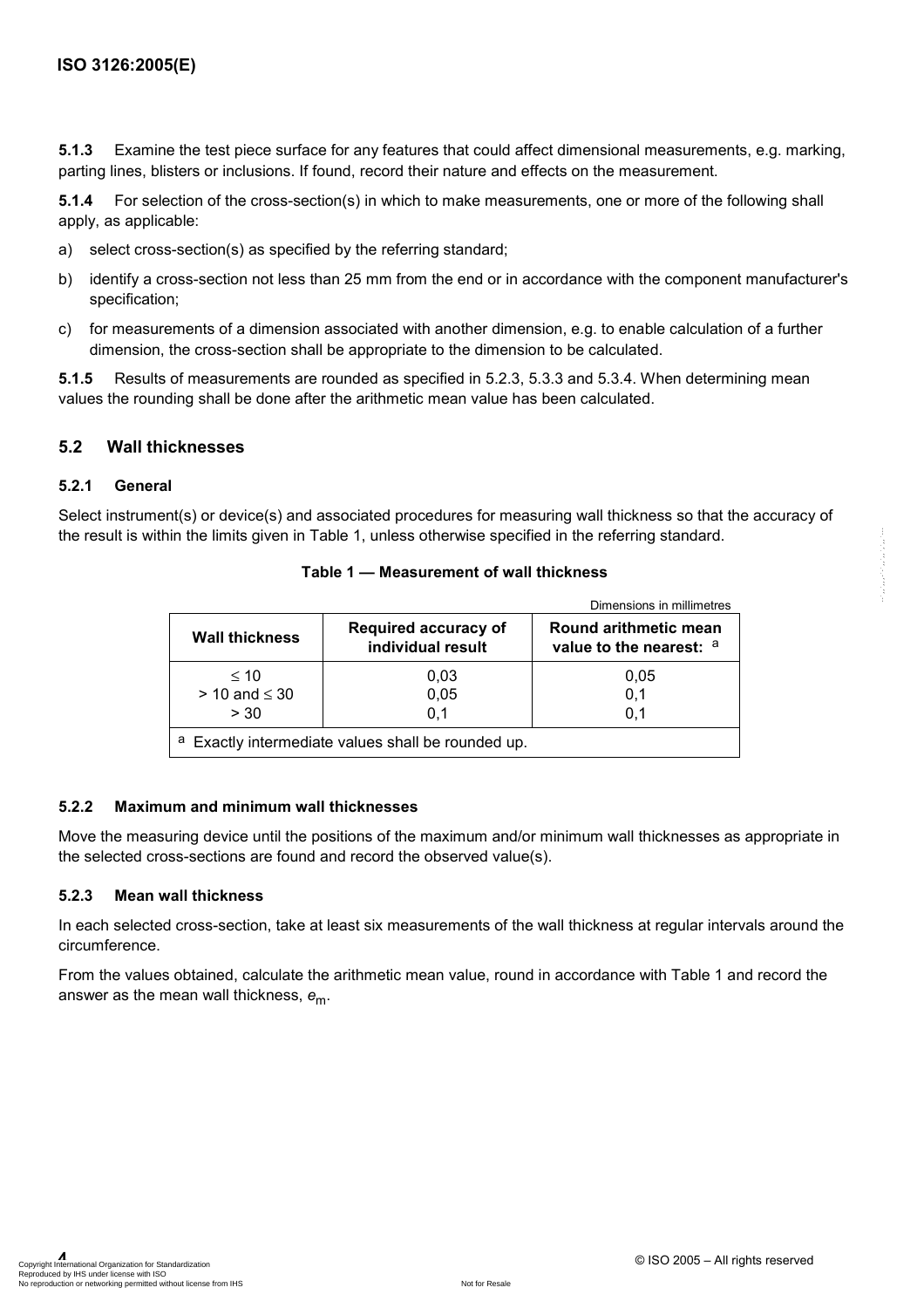**5.1.3** Examine the test piece surface for any features that could affect dimensional measurements, e.g. marking, parting lines, blisters or inclusions. If found, record their nature and effects on the measurement.

**5.1.4** For selection of the cross-section(s) in which to make measurements, one or more of the following shall apply, as applicable:

- a) select cross-section(s) as specified by the referring standard;
- b) identify a cross-section not less than 25 mm from the end or in accordance with the component manufacturer's specification;
- c) for measurements of a dimension associated with another dimension, e.g. to enable calculation of a further dimension, the cross-section shall be appropriate to the dimension to be calculated.

**5.1.5** Results of measurements are rounded as specified in 5.2.3, 5.3.3 and 5.3.4. When determining mean values the rounding shall be done after the arithmetic mean value has been calculated.

#### **5.2 Wall thicknesses**

#### **5.2.1 General**

Select instrument(s) or device(s) and associated procedures for measuring wall thickness so that the accuracy of the result is within the limits given in Table 1, unless otherwise specified in the referring standard.

|                                                  |                                           | Dimensions in millimetres                        |
|--------------------------------------------------|-------------------------------------------|--------------------------------------------------|
| <b>Wall thickness</b>                            | Required accuracy of<br>individual result | Round arithmetic mean<br>value to the nearest: a |
| $\leq 10$<br>$> 10$ and $\leq 30$<br>> 30        | 0.03<br>0,05<br>0.1                       | 0.05<br>0,1<br>0.1                               |
| Exactly intermediate values shall be rounded up. |                                           |                                                  |

#### **Table 1 — Measurement of wall thickness**

#### **5.2.2 Maximum and minimum wall thicknesses**

Move the measuring device until the positions of the maximum and/or minimum wall thicknesses as appropriate in the selected cross-sections are found and record the observed value(s).

#### **5.2.3 Mean wall thickness**

In each selected cross-section, take at least six measurements of the wall thickness at regular intervals around the circumference.

From the values obtained, calculate the arithmetic mean value, round in accordance with Table 1 and record the answer as the mean wall thickness, *e*m.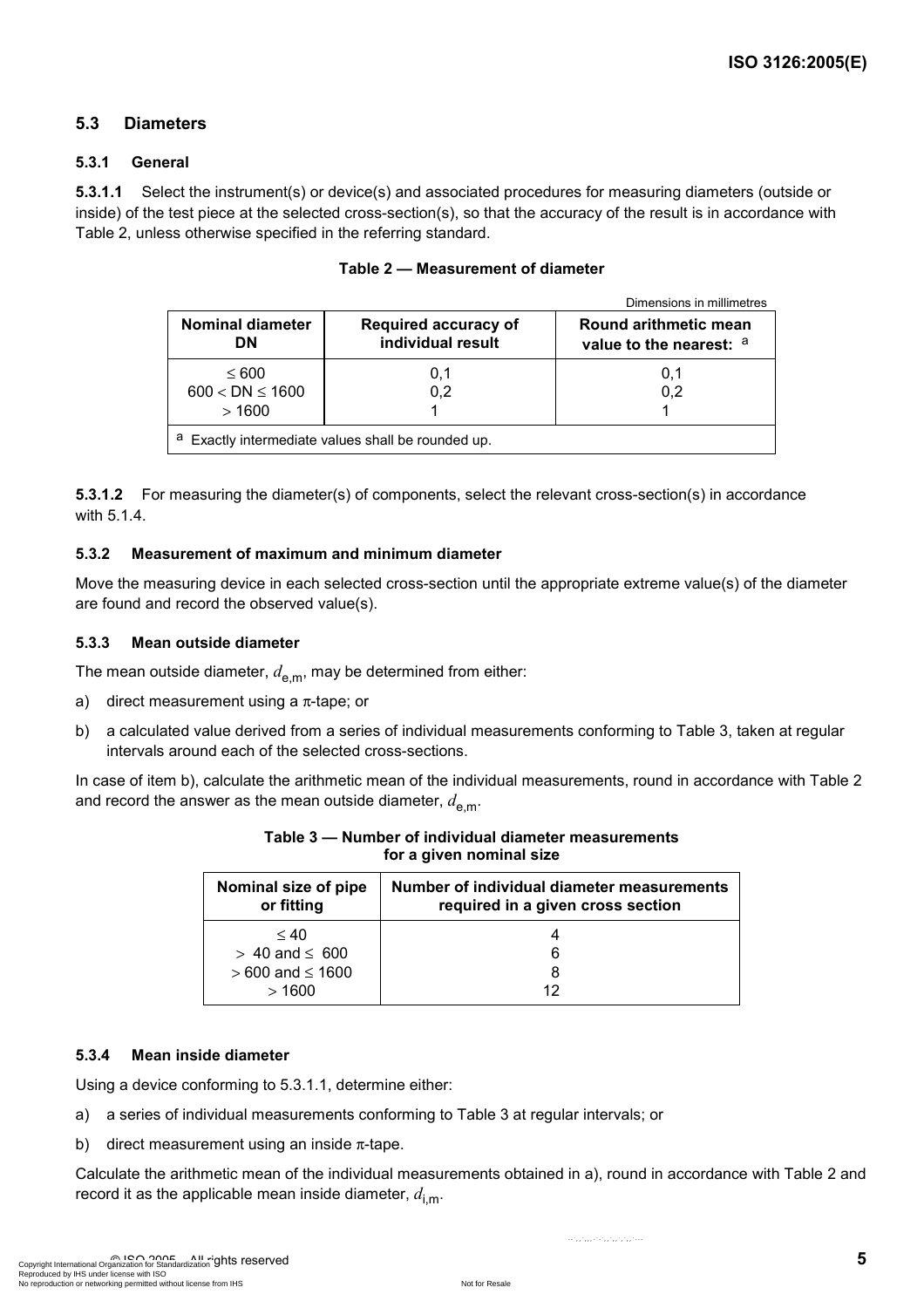### **5.3 Diameters**

#### **5.3.1 General**

**5.3.1.1** Select the instrument(s) or device(s) and associated procedures for measuring diameters (outside or inside) of the test piece at the selected cross-section(s), so that the accuracy of the result is in accordance with Table 2, unless otherwise specified in the referring standard.

|                                                       |                                                  | Dimensions in millimetres                        |
|-------------------------------------------------------|--------------------------------------------------|--------------------------------------------------|
| <b>Nominal diameter</b><br>DΝ                         | <b>Required accuracy of</b><br>individual result | Round arithmetic mean<br>value to the nearest: a |
| $\leq 600$<br>$600 < DN \le 1600$<br>>1600            | 0.1<br>0.2                                       | 0,1<br>0.2                                       |
| a<br>Exactly intermediate values shall be rounded up. |                                                  |                                                  |

| Table 2 – Measurement of diameter |
|-----------------------------------|
|-----------------------------------|

**5.3.1.2** For measuring the diameter(s) of components, select the relevant cross-section(s) in accordance with 5.1.4.

#### **5.3.2 Measurement of maximum and minimum diameter**

Move the measuring device in each selected cross-section until the appropriate extreme value(s) of the diameter are found and record the observed value(s).

#### **5.3.3 Mean outside diameter**

The mean outside diameter,  $d_{em}$ , may be determined from either:

- a) direct measurement using a  $\pi$ -tape; or
- b) a calculated value derived from a series of individual measurements conforming to Table 3, taken at regular intervals around each of the selected cross-sections.

In case of item b), calculate the arithmetic mean of the individual measurements, round in accordance with Table 2 and record the answer as the mean outside diameter,  $d_{\rm em}$ .

| Nominal size of pipe<br>or fitting | Number of individual diameter measurements<br>required in a given cross section |  |
|------------------------------------|---------------------------------------------------------------------------------|--|
| < 40                               |                                                                                 |  |
| $> 40$ and $\leq 600$              | 6                                                                               |  |
| $>600$ and $\leq 1600$             |                                                                                 |  |
| >1600                              | 12                                                                              |  |

**Table 3 — Number of individual diameter measurements for a given nominal size** 

#### **5.3.4 Mean inside diameter**

Using a device conforming to 5.3.1.1, determine either:

- a) a series of individual measurements conforming to Table 3 at regular intervals; or
- b) direct measurement using an inside  $\pi$ -tape.

Calculate the arithmetic mean of the individual measurements obtained in a), round in accordance with Table 2 and record it as the applicable mean inside diameter,  $d_{\text{im}}$ .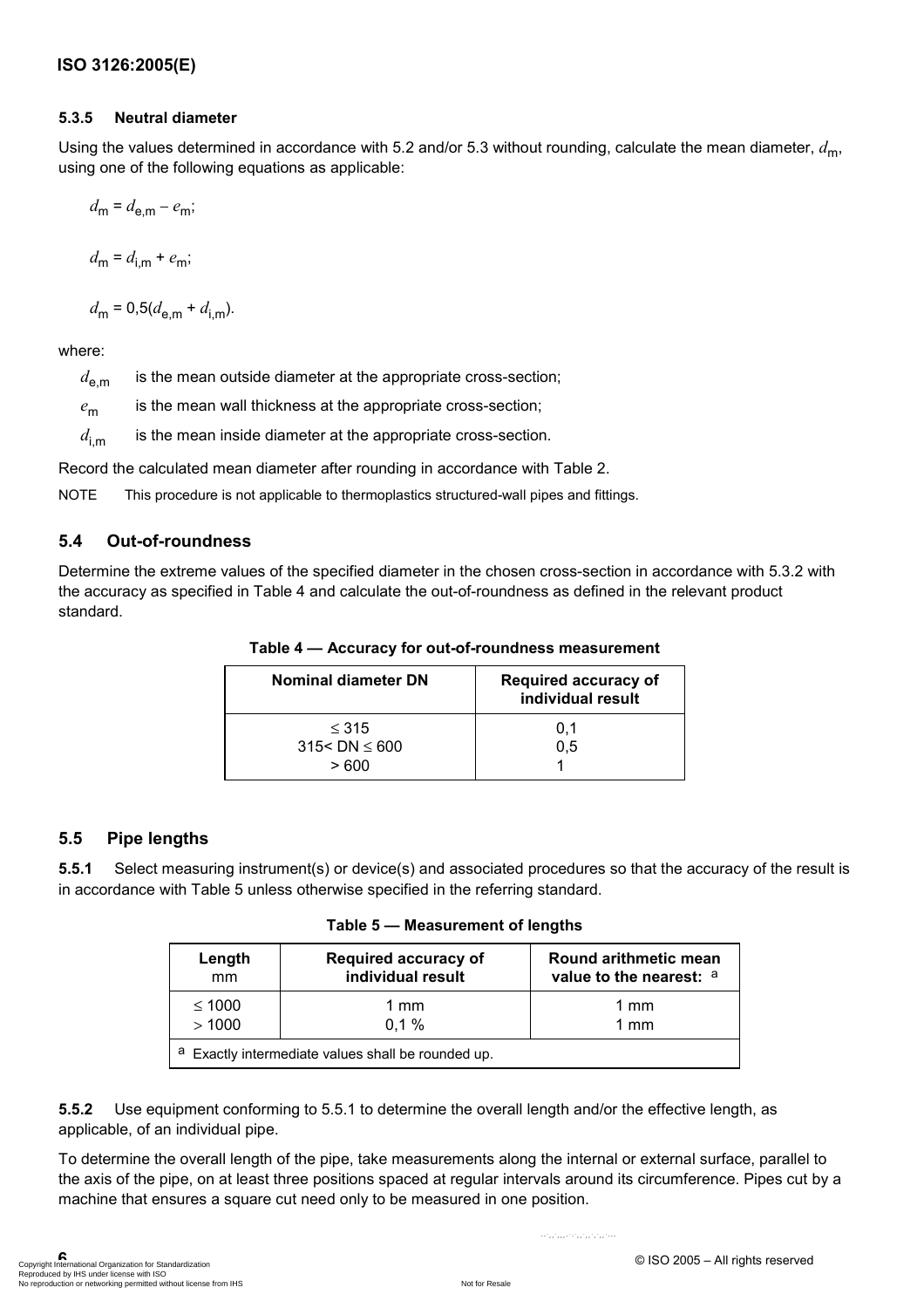#### **5.3.5 Neutral diameter**

Using the values determined in accordance with 5.2 and/or 5.3 without rounding, calculate the mean diameter,  $d_{\text{m}}$ , using one of the following equations as applicable:

$$
d_{\mathsf{m}} = d_{\mathsf{e},\mathsf{m}} - e_{\mathsf{m}};
$$

$$
d_{\mathsf{m}} = d_{\mathsf{i},\mathsf{m}} + e_{\mathsf{m}};
$$

$$
d_{\rm m} = 0.5(d_{\rm e,m} + d_{\rm i,m}).
$$

where:

 $d_{\text{em}}$  is the mean outside diameter at the appropriate cross-section;

*e*m is the mean wall thickness at the appropriate cross-section;

 $d_{\text{im}}$  is the mean inside diameter at the appropriate cross-section.

Record the calculated mean diameter after rounding in accordance with Table 2.

NOTE This procedure is not applicable to thermoplastics structured-wall pipes and fittings.

### **5.4 Out-of-roundness**

Determine the extreme values of the specified diameter in the chosen cross-section in accordance with 5.3.2 with the accuracy as specified in Table 4 and calculate the out-of-roundness as defined in the relevant product standard.

| Nominal diameter DN                       | <b>Required accuracy of</b><br>individual result |
|-------------------------------------------|--------------------------------------------------|
| $\leq 315$<br>$315 < DN \leq 600$<br>>600 | 0,1<br>0.5                                       |

**Table 4 — Accuracy for out-of-roundness measurement** 

### **5.5 Pipe lengths**

**5.5.1** Select measuring instrument(s) or device(s) and associated procedures so that the accuracy of the result is in accordance with Table 5 unless otherwise specified in the referring standard.

**Table 5 — Measurement of lengths** 

| Length                                                | <b>Required accuracy of</b> | Round arithmetic mean   |
|-------------------------------------------------------|-----------------------------|-------------------------|
| mm                                                    | individual result           | value to the nearest: a |
| $\leq 1000$                                           | 1 mm                        | 1 mm                    |
| >1000                                                 | 0.1%                        | 1 mm                    |
| а<br>Exactly intermediate values shall be rounded up. |                             |                         |

**5.5.2** Use equipment conforming to 5.5.1 to determine the overall length and/or the effective length, as applicable, of an individual pipe.

To determine the overall length of the pipe, take measurements along the internal or external surface, parallel to the axis of the pipe, on at least three positions spaced at regular intervals around its circumference. Pipes cut by a machine that ensures a square cut need only to be measured in one position.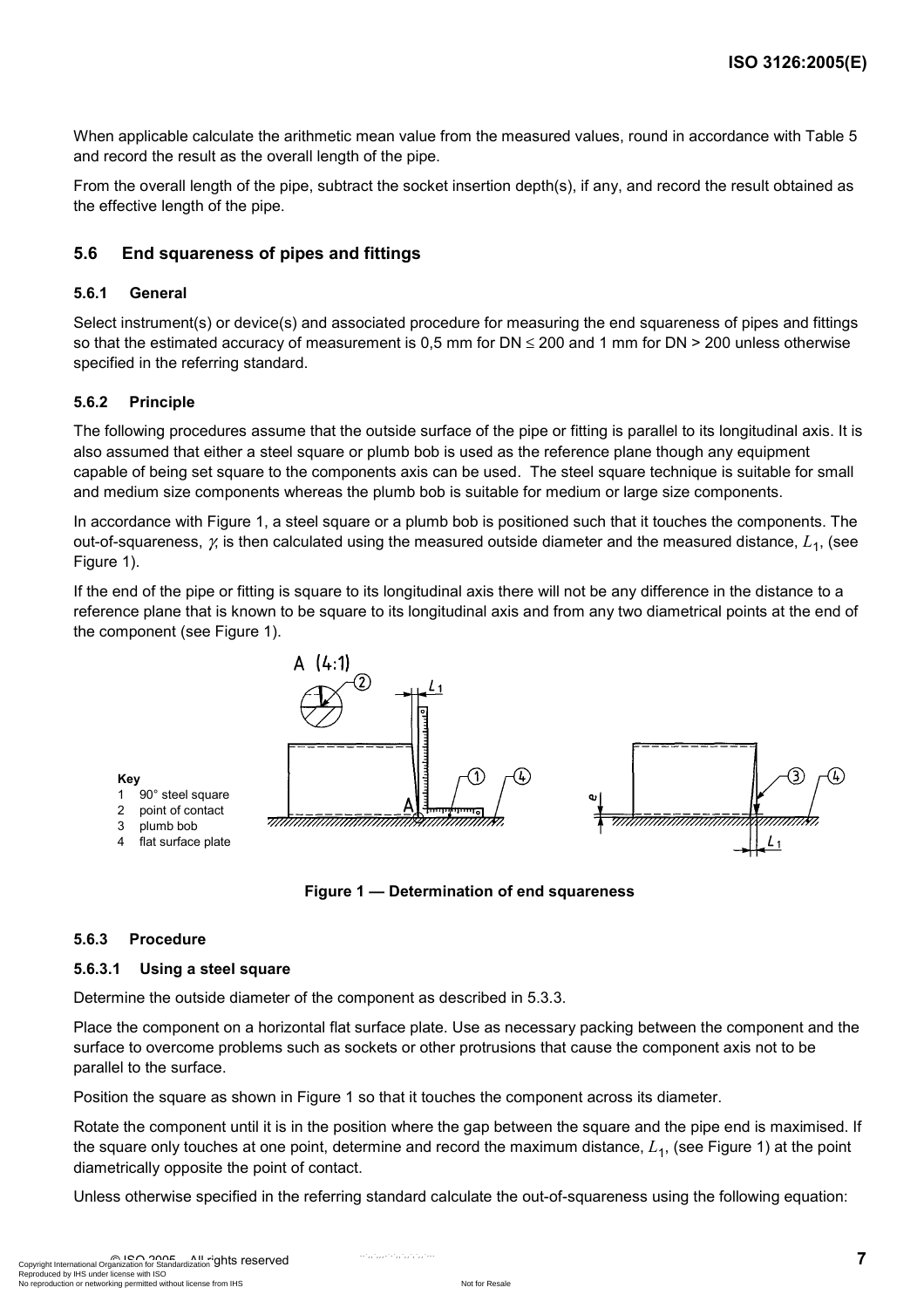When applicable calculate the arithmetic mean value from the measured values, round in accordance with Table 5 and record the result as the overall length of the pipe.

From the overall length of the pipe, subtract the socket insertion depth(s), if any, and record the result obtained as the effective length of the pipe.

### **5.6 End squareness of pipes and fittings**

#### **5.6.1 General**

Select instrument(s) or device(s) and associated procedure for measuring the end squareness of pipes and fittings so that the estimated accuracy of measurement is 0,5 mm for  $DN \le 200$  and 1 mm for  $DN > 200$  unless otherwise specified in the referring standard.

#### **5.6.2 Principle**

The following procedures assume that the outside surface of the pipe or fitting is parallel to its longitudinal axis. It is also assumed that either a steel square or plumb bob is used as the reference plane though any equipment capable of being set square to the components axis can be used. The steel square technique is suitable for small and medium size components whereas the plumb bob is suitable for medium or large size components.

In accordance with Figure 1, a steel square or a plumb bob is positioned such that it touches the components. The out-of-squareness, γ, is then calculated using the measured outside diameter and the measured distance, *L*1, (see Figure 1).

If the end of the pipe or fitting is square to its longitudinal axis there will not be any difference in the distance to a reference plane that is known to be square to its longitudinal axis and from any two diametrical points at the end of the component (see Figure 1).





#### **5.6.3 Procedure**

#### **5.6.3.1 Using a steel square**

Determine the outside diameter of the component as described in 5.3.3.

Place the component on a horizontal flat surface plate. Use as necessary packing between the component and the surface to overcome problems such as sockets or other protrusions that cause the component axis not to be parallel to the surface.

Position the square as shown in Figure 1 so that it touches the component across its diameter.

Rotate the component until it is in the position where the gap between the square and the pipe end is maximised. If the square only touches at one point, determine and record the maximum distance,  $L_1$ , (see Figure 1) at the point diametrically opposite the point of contact.

Unless otherwise specified in the referring standard calculate the out-of-squareness using the following equation: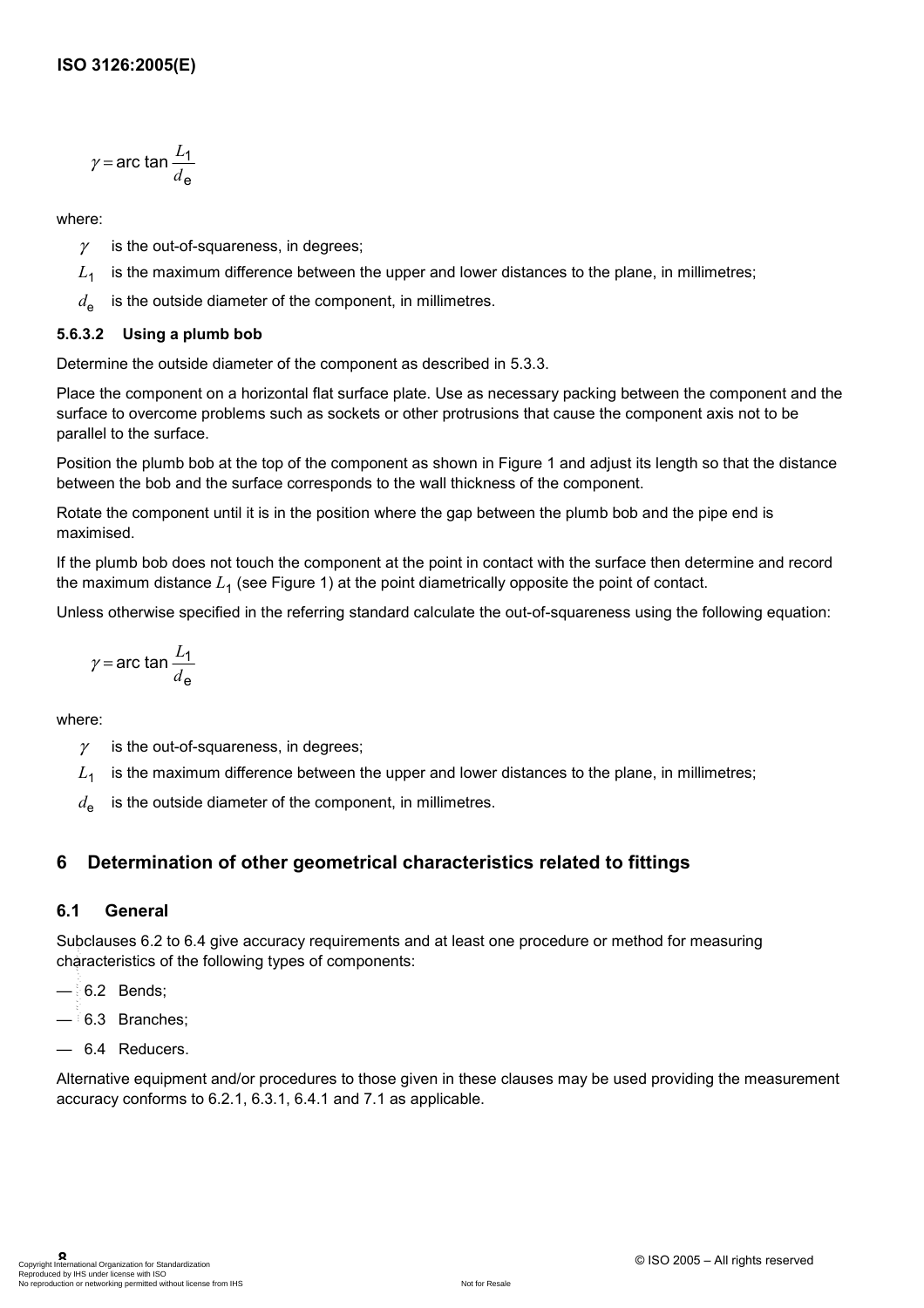$$
\gamma = \arctan \frac{L_1}{d_e}
$$

where:

- $\gamma$  is the out-of-squareness, in degrees;
- $L<sub>1</sub>$  is the maximum difference between the upper and lower distances to the plane, in millimetres;
- $d_{\text{e}}$  is the outside diameter of the component, in millimetres.

### **5.6.3.2 Using a plumb bob**

Determine the outside diameter of the component as described in 5.3.3.

Place the component on a horizontal flat surface plate. Use as necessary packing between the component and the surface to overcome problems such as sockets or other protrusions that cause the component axis not to be parallel to the surface.

Position the plumb bob at the top of the component as shown in Figure 1 and adjust its length so that the distance between the bob and the surface corresponds to the wall thickness of the component.

Rotate the component until it is in the position where the gap between the plumb bob and the pipe end is maximised.

If the plumb bob does not touch the component at the point in contact with the surface then determine and record the maximum distance *L*<sup>1</sup> (see Figure 1) at the point diametrically opposite the point of contact.

Unless otherwise specified in the referring standard calculate the out-of-squareness using the following equation:

$$
\gamma = \arctan \frac{L_1}{d_e}
$$

where:

- $\gamma$  is the out-of-squareness, in degrees;
- $L_1$  is the maximum difference between the upper and lower distances to the plane, in millimetres;
- $d_{\text{o}}$  is the outside diameter of the component, in millimetres.

### **6 Determination of other geometrical characteristics related to fittings**

### **6.1 General**

Subclauses 6.2 to 6.4 give accuracy requirements and at least one procedure or method for measuring characteristics of the following types of components: --`,,`,,,-`-`,,`,,`,`,,`---

- $-6.2$  Bends:
- $-$  6.3 Branches:
- 6.4 Reducers.

Alternative equipment and/or procedures to those given in these clauses may be used providing the measurement accuracy conforms to 6.2.1, 6.3.1, 6.4.1 and 7.1 as applicable.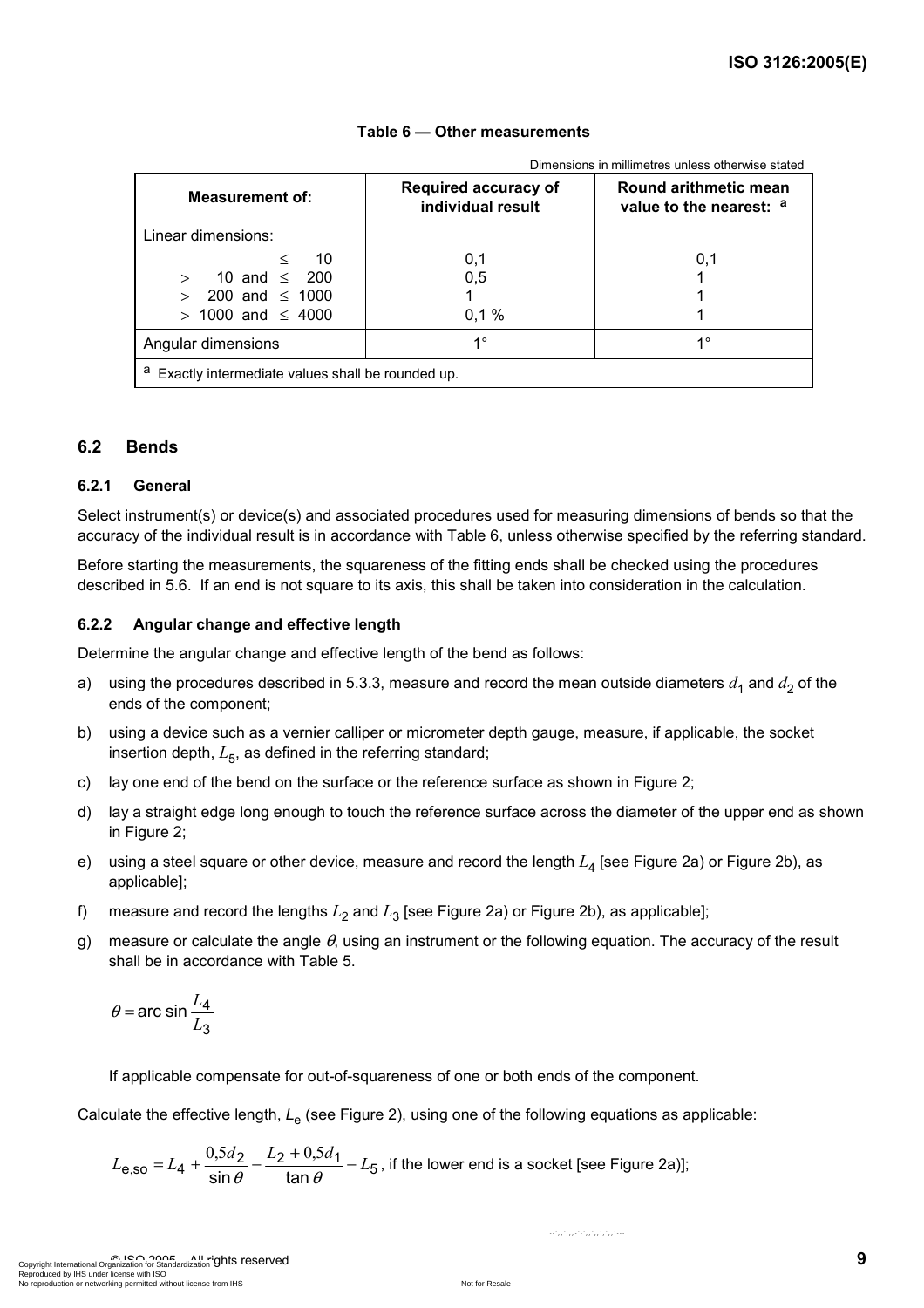| Dimensions in millimetres unless otherwise stated     |                                                  |                                                  |
|-------------------------------------------------------|--------------------------------------------------|--------------------------------------------------|
| <b>Measurement of:</b>                                | <b>Required accuracy of</b><br>individual result | Round arithmetic mean<br>value to the nearest: a |
| Linear dimensions:                                    |                                                  |                                                  |
| 10<br>≺                                               | 0,1                                              | 0,1                                              |
| 10 and $\leq$ 200<br>$\geq$                           | 0,5                                              |                                                  |
| 200 and $\leq$ 1000<br>$\rightarrow$                  |                                                  |                                                  |
| $>$ 1000 and $\leq$ 4000                              | 0.1%                                             |                                                  |
| Angular dimensions                                    | $1^{\circ}$                                      | 10                                               |
| a<br>Exactly intermediate values shall be rounded up. |                                                  |                                                  |

#### **Table 6 — Other measurements**

**6.2 Bends** 

#### **6.2.1 General**

Select instrument(s) or device(s) and associated procedures used for measuring dimensions of bends so that the accuracy of the individual result is in accordance with Table 6, unless otherwise specified by the referring standard.

Before starting the measurements, the squareness of the fitting ends shall be checked using the procedures described in 5.6. If an end is not square to its axis, this shall be taken into consideration in the calculation.

#### **6.2.2 Angular change and effective length**

Determine the angular change and effective length of the bend as follows:

- a) using the procedures described in 5.3.3, measure and record the mean outside diameters  $d_1$  and  $d_2$  of the ends of the component;
- b) using a device such as a vernier calliper or micrometer depth gauge, measure, if applicable, the socket insertion depth,  $L_5$ , as defined in the referring standard;
- c) lay one end of the bend on the surface or the reference surface as shown in Figure 2;
- d) lay a straight edge long enough to touch the reference surface across the diameter of the upper end as shown in Figure 2:
- e) using a steel square or other device, measure and record the length  $L_4$  [see Figure 2a) or Figure 2b), as applicable];
- f) measure and record the lengths  $L_2$  and  $L_3$  [see Figure 2a) or Figure 2b), as applicable];
- g) measure or calculate the angle  $\theta$ , using an instrument or the following equation. The accuracy of the result shall be in accordance with Table 5.

$$
\theta = \arcsin \frac{L_4}{L_3}
$$

If applicable compensate for out-of-squareness of one or both ends of the component.

Calculate the effective length, *L*e (see Figure 2), using one of the following equations as applicable:

$$
L_{\text{e,so}} = L_4 + \frac{0.5d_2}{\sin \theta} - \frac{L_2 + 0.5d_1}{\tan \theta} - L_5
$$
, if the lower end is a socket [see Figure 2a)];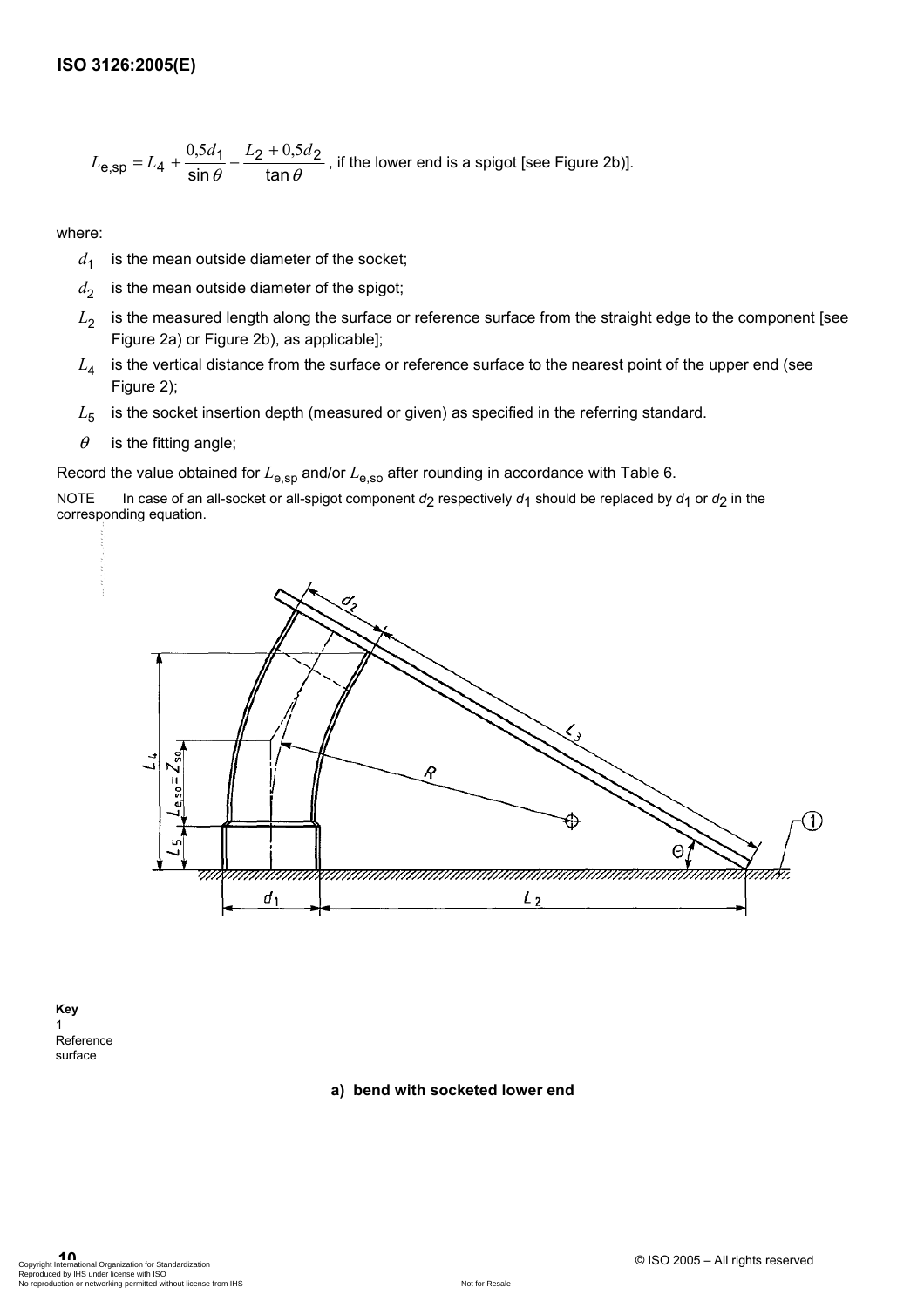$$
L_{\text{e,sp}} = L_4 + \frac{0.5d_1}{\sin \theta} - \frac{L_2 + 0.5d_2}{\tan \theta}
$$
, if the lower end is a spigot [see Figure 2b)].

where:

- $d_1$  is the mean outside diameter of the socket;
- $d_2$  is the mean outside diameter of the spigot;
- *L*<sub>2</sub> is the measured length along the surface or reference surface from the straight edge to the component [see Figure 2a) or Figure 2b), as applicable];
- $L_4$  is the vertical distance from the surface or reference surface to the nearest point of the upper end (see Figure 2);
- L<sub>5</sub> is the socket insertion depth (measured or given) as specified in the referring standard.
- $\theta$  is the fitting angle;

Record the value obtained for  $L_{\text{e,SD}}$  and/or  $L_{\text{e,SO}}$  after rounding in accordance with Table 6.

NOTE In case of an all-socket or all-spigot component  $d_2$  respectively  $d_1$  should be replaced by  $d_1$  or  $d_2$  in the corresponding equation.



**Key**  1 Reference surface

**a) bend with socketed lower end**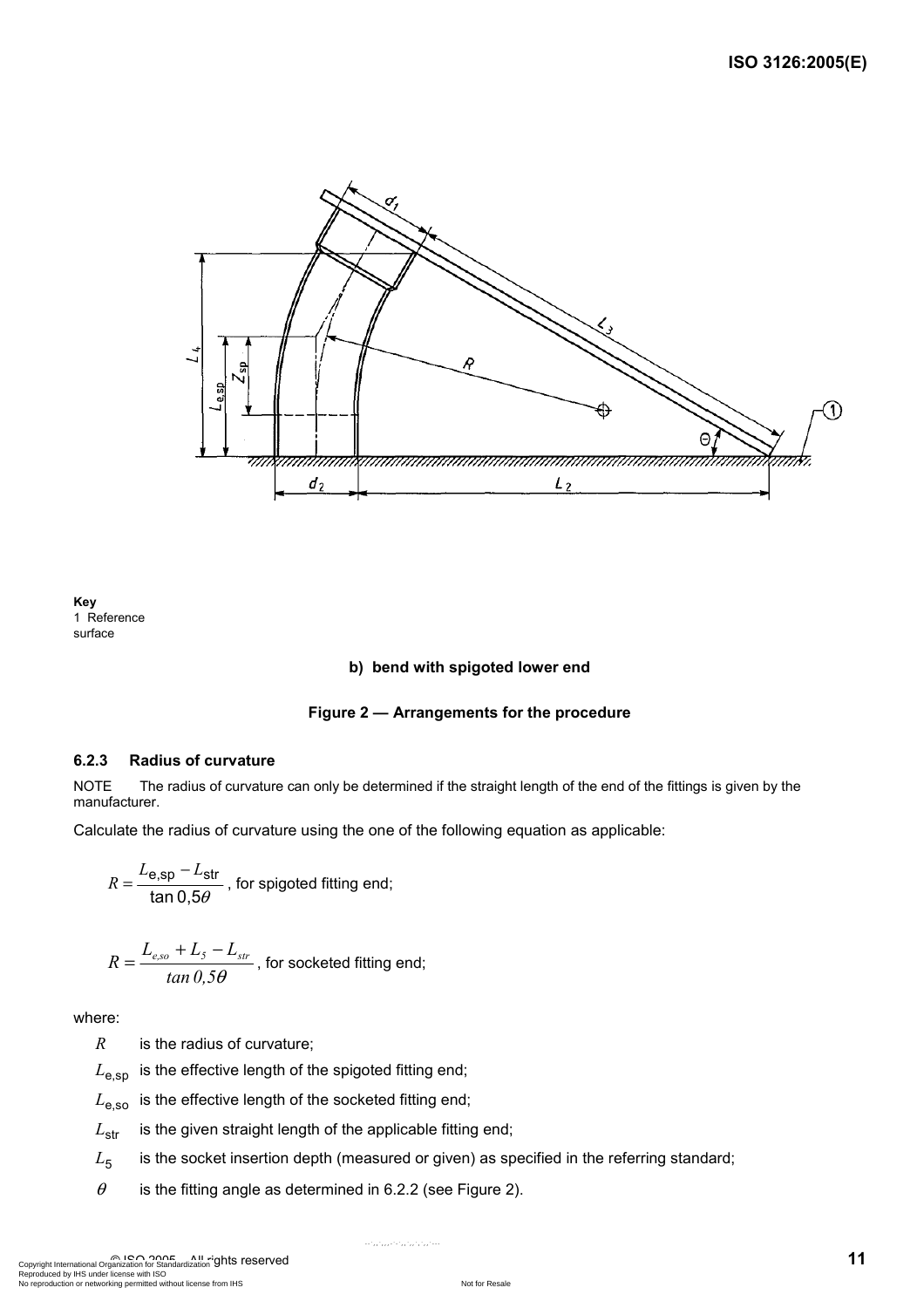

**Key**  1 Reference surface

#### **b) bend with spigoted lower end**

#### **Figure 2 — Arrangements for the procedure**

#### **6.2.3 Radius of curvature**

NOTE The radius of curvature can only be determined if the straight length of the end of the fittings is given by the manufacturer.

Calculate the radius of curvature using the one of the following equation as applicable:

$$
R = \frac{L_{e,sp} - L_{str}}{\tan 0.5\theta}
$$
, for spigoted fitting end;

$$
R = \frac{L_{e,so} + L_s - L_{str}}{\tan 0.5\theta}
$$
, for socketed fitting end;

where:

*R* is the radius of curvature;

 $L_{\text{e,}sp}$  is the effective length of the spigoted fitting end;

 $L_{\text{e,}so}$  is the effective length of the socketed fitting end;

 $L_{\text{str}}$  is the given straight length of the applicable fitting end;

 $L_5$  is the socket insertion depth (measured or given) as specified in the referring standard;

 $\theta$  is the fitting angle as determined in 6.2.2 (see Figure 2).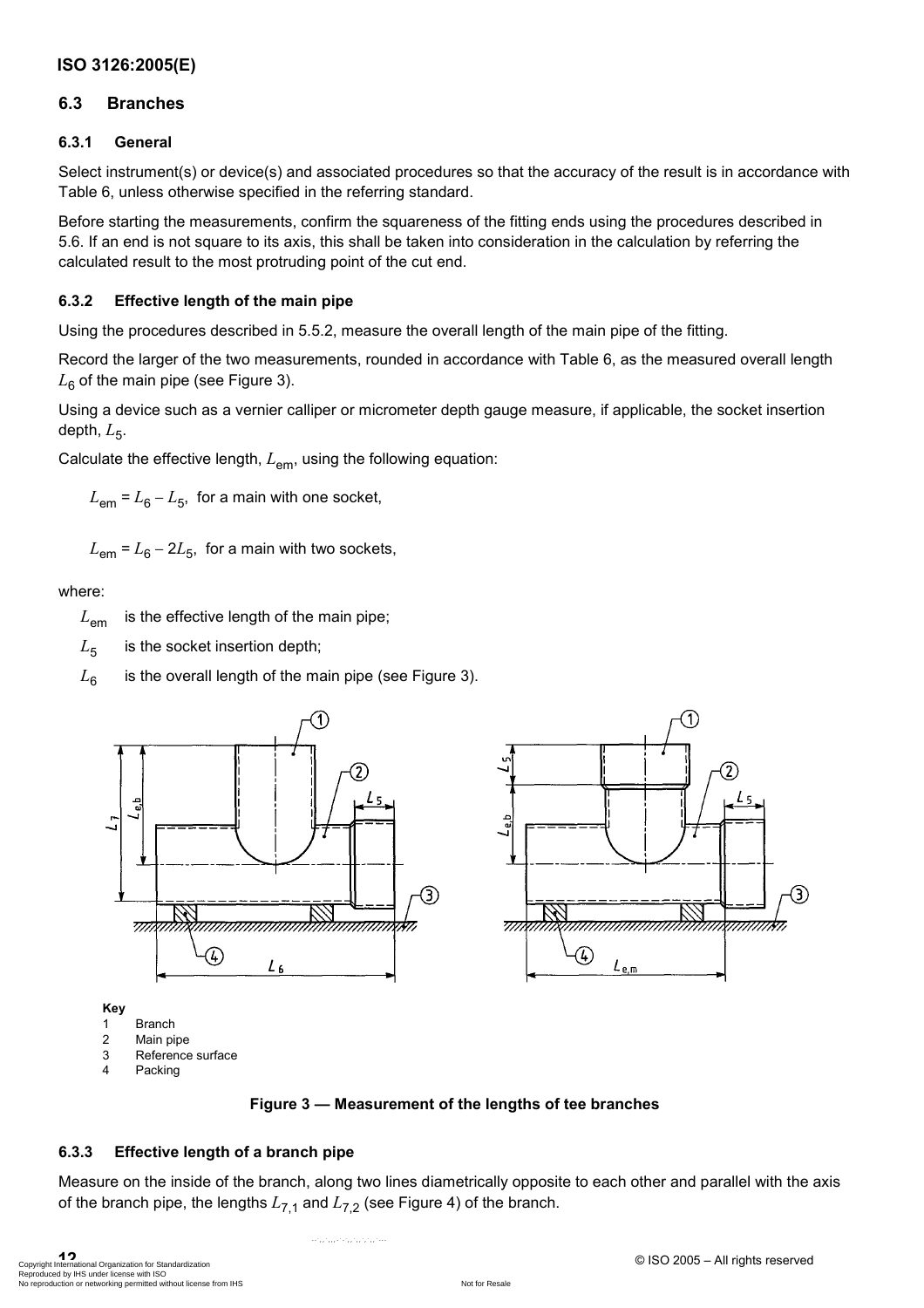### **6.3 Branches**

### **6.3.1 General**

Select instrument(s) or device(s) and associated procedures so that the accuracy of the result is in accordance with Table 6, unless otherwise specified in the referring standard.

Before starting the measurements, confirm the squareness of the fitting ends using the procedures described in 5.6. If an end is not square to its axis, this shall be taken into consideration in the calculation by referring the calculated result to the most protruding point of the cut end.

### **6.3.2 Effective length of the main pipe**

Using the procedures described in 5.5.2, measure the overall length of the main pipe of the fitting.

Record the larger of the two measurements, rounded in accordance with Table 6, as the measured overall length  $L_6$  of the main pipe (see Figure 3).

Using a device such as a vernier calliper or micrometer depth gauge measure, if applicable, the socket insertion depth,  $L_5$ .

Calculate the effective length,  $L_{em}$ , using the following equation:

 $L_{em}$  =  $L_6 - L_5$ , for a main with one socket,

 $L_{\rm em}$  =  $L_{\rm B}$  – 2 $L_{\rm B}$ , for a main with two sockets,

where:

*L*em is the effective length of the main pipe;

 $L<sub>5</sub>$  is the socket insertion depth;

 $L_6$  is the overall length of the main pipe (see Figure 3).



#### **Figure 3 — Measurement of the lengths of tee branches**

### **6.3.3 Effective length of a branch pipe**

Measure on the inside of the branch, along two lines diametrically opposite to each other and parallel with the axis of the branch pipe, the lengths  $L_{7,1}$  and  $L_{7,2}$  (see Figure 4) of the branch.

**12**<br>Copyright International Organization for Standardization<br>Reproduced by IHS under license with ISO and International organization international reproduction or networking permitted without license from IHS Not for Res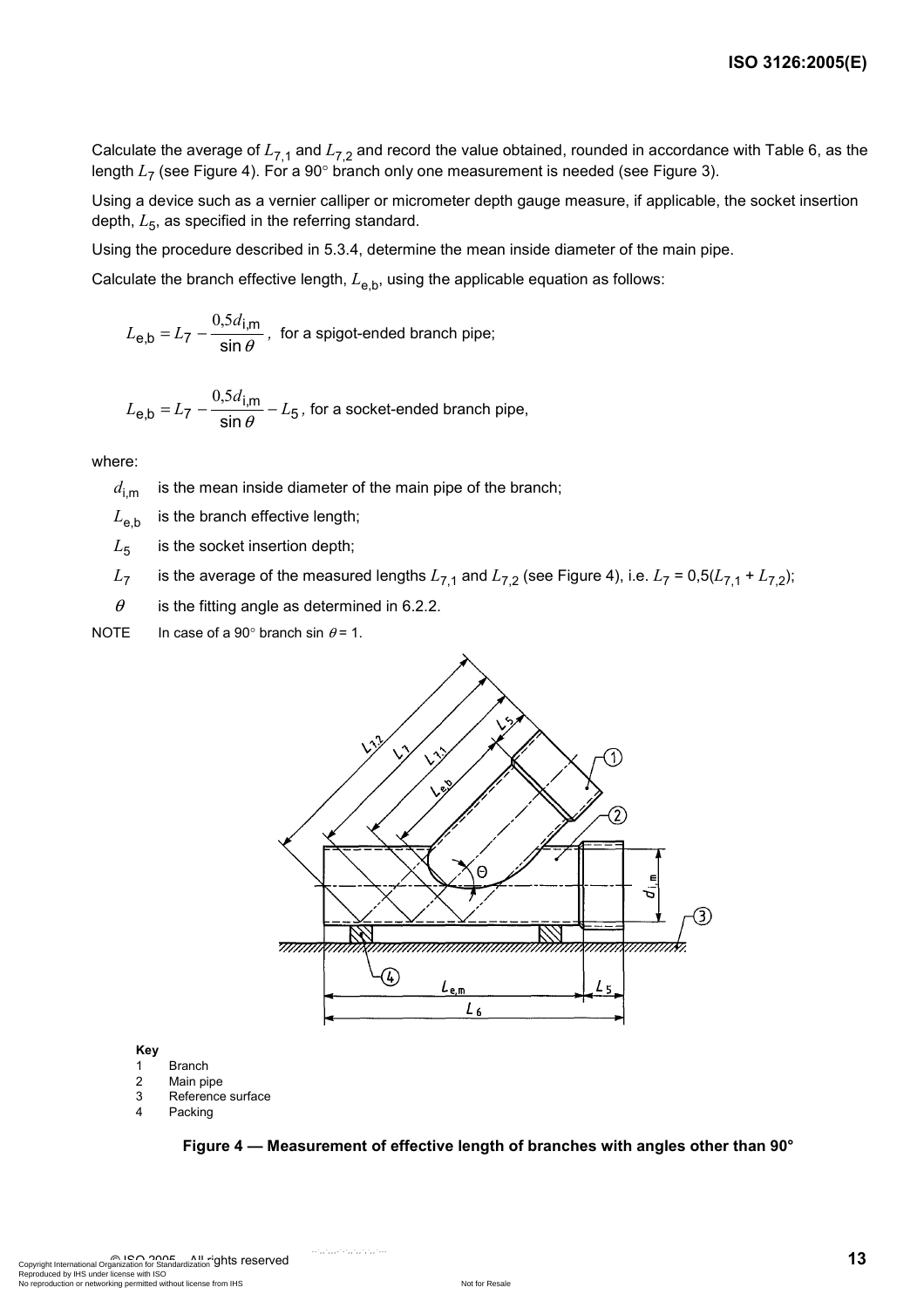Calculate the average of  $L_{7,1}$  and  $L_{7,2}$  and record the value obtained, rounded in accordance with Table 6, as the length  $L_7$  (see Figure 4). For a 90° branch only one measurement is needed (see Figure 3).

Using a device such as a vernier calliper or micrometer depth gauge measure, if applicable, the socket insertion depth,  $L_5$ , as specified in the referring standard.

Using the procedure described in 5.3.4, determine the mean inside diameter of the main pipe.

Calculate the branch effective length,  $L_{e,b}$ , using the applicable equation as follows:

$$
L_{\mathbf{e},\mathbf{b}} = L_7 - \frac{0.5d_{\mathbf{i},\mathbf{m}}}{\sin\theta}
$$
, for a spigot-ended branch pipe;

$$
L_{\mathbf{e},\mathbf{b}} = L_7 - \frac{0.5d_{\mathbf{i},\mathbf{m}}}{\sin \theta} - L_5
$$
, for a socket-ended branch pipe,

where:

 $d_{\text{im}}$  is the mean inside diameter of the main pipe of the branch;

 $L_{\text{eh}}$  is the branch effective length;

 $L_5$  is the socket insertion depth;

*L*<sub>7</sub> is the average of the measured lengths  $L_{7,1}$  and  $L_{7,2}$  (see Figure 4), i.e.  $L_7 = 0.5(L_{7,1} + L_{7,2})$ ;

 $\theta$  is the fitting angle as determined in 6.2.2.

NOTE In case of a 90° branch sin  $\theta$  = 1.



**Key** 

- 1 Branch
- 2 Main pipe
- 3 Reference surface
- 4 Packing

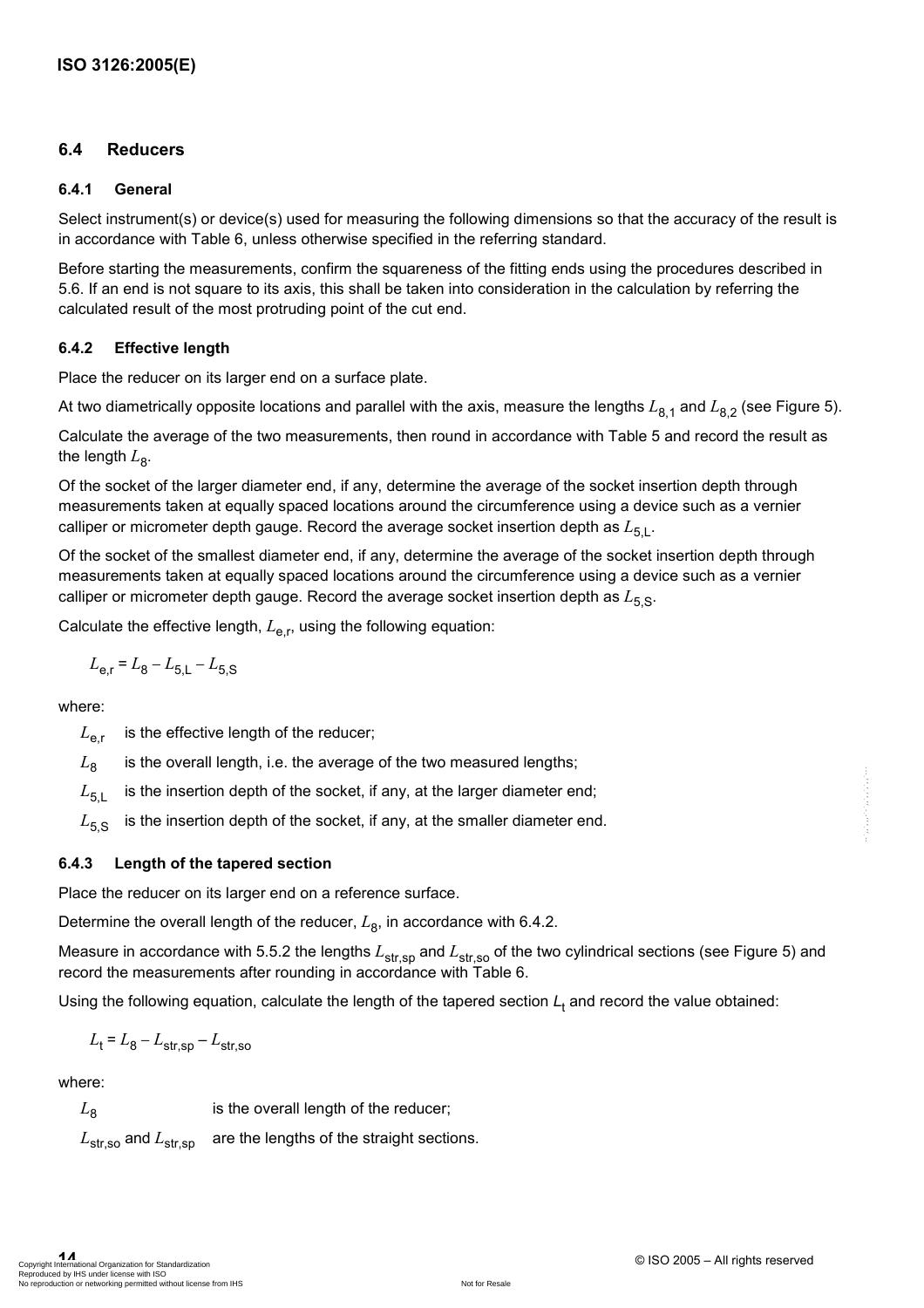### **6.4 Reducers**

#### **6.4.1 General**

Select instrument(s) or device(s) used for measuring the following dimensions so that the accuracy of the result is in accordance with Table 6, unless otherwise specified in the referring standard.

Before starting the measurements, confirm the squareness of the fitting ends using the procedures described in 5.6. If an end is not square to its axis, this shall be taken into consideration in the calculation by referring the calculated result of the most protruding point of the cut end.

#### **6.4.2 Effective length**

Place the reducer on its larger end on a surface plate.

At two diametrically opposite locations and parallel with the axis, measure the lengths  $L_{8,1}$  and  $L_{8,2}$  (see Figure 5).

Calculate the average of the two measurements, then round in accordance with Table 5 and record the result as the length  $L_{\rm B}$ .

Of the socket of the larger diameter end, if any, determine the average of the socket insertion depth through measurements taken at equally spaced locations around the circumference using a device such as a vernier calliper or micrometer depth gauge. Record the average socket insertion depth as  $L_{5,1}$ .

Of the socket of the smallest diameter end, if any, determine the average of the socket insertion depth through measurements taken at equally spaced locations around the circumference using a device such as a vernier calliper or micrometer depth gauge. Record the average socket insertion depth as  $L_{5, \text{S}}$ .

Calculate the effective length,  $L_{\rm er}$ , using the following equation:

$$
L_{\rm e,r} = L_8 - L_{5,\rm L} - L_{5,\rm S}
$$

where:

 $L_{\rm err}$  is the effective length of the reducer;

 $L_{\rm B}$  is the overall length, i.e. the average of the two measured lengths;

 $L_{51}$  is the insertion depth of the socket, if any, at the larger diameter end;

 $L_{5,8}$  is the insertion depth of the socket, if any, at the smaller diameter end.

### **6.4.3 Length of the tapered section**

Place the reducer on its larger end on a reference surface.

Determine the overall length of the reducer,  $L_8$ , in accordance with 6.4.2.

Measure in accordance with 5.5.2 the lengths  $L_{str,sp}$  and  $L_{str,so}$  of the two cylindrical sections (see Figure 5) and record the measurements after rounding in accordance with Table 6.

Using the following equation, calculate the length of the tapered section  $L_t$  and record the value obtained:

$$
L_{\rm t} = L_{\rm 8} - L_{\rm str,sp} - L_{\rm str,so}
$$

where:

 $L<sub>8</sub>$  is the overall length of the reducer; L<sub>str,so</sub> and L<sub>str,sp</sub> are the lengths of the straight sections.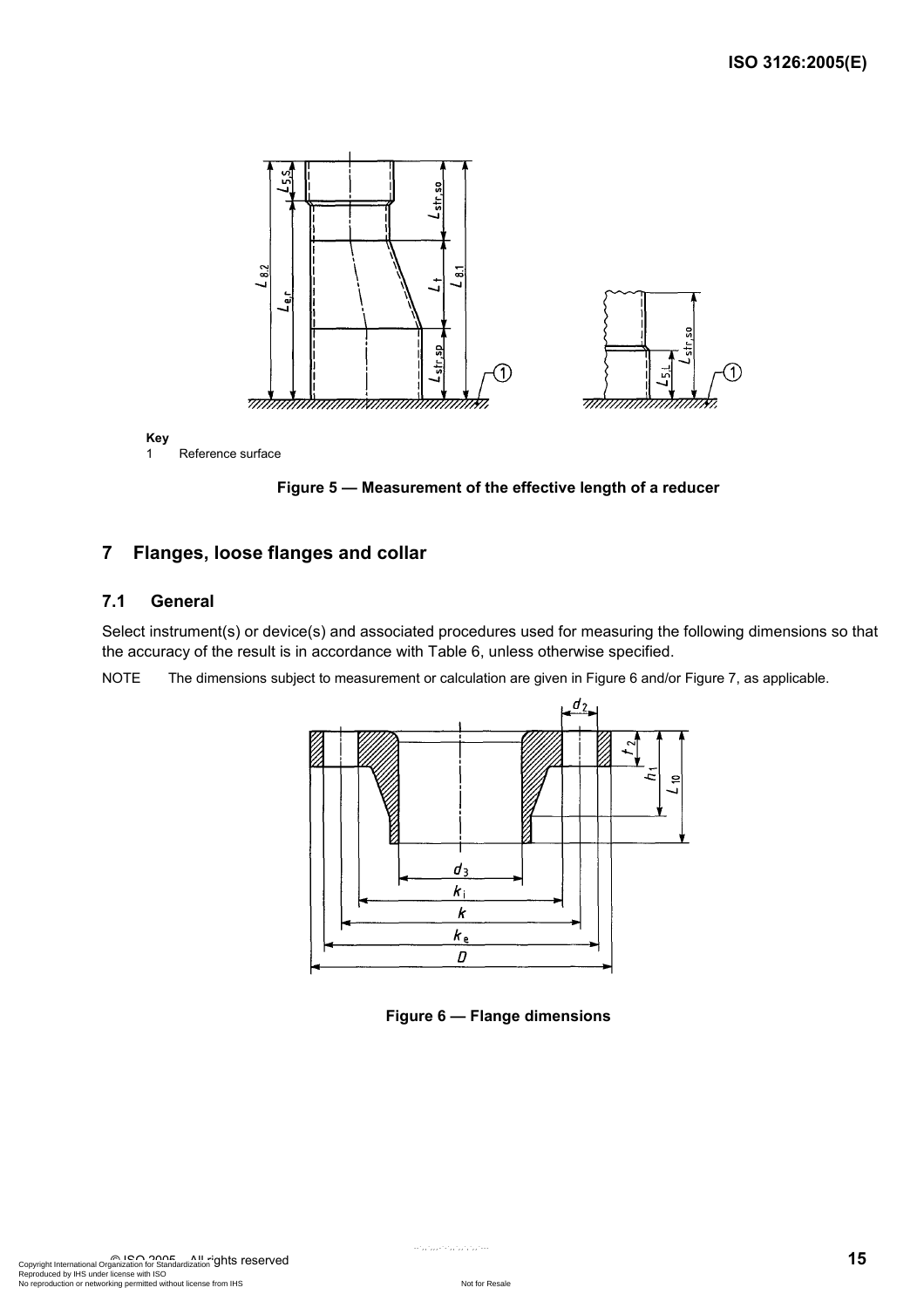

**Figure 5 — Measurement of the effective length of a reducer** 

### **7 Flanges, loose flanges and collar**

#### **7.1 General**

Select instrument(s) or device(s) and associated procedures used for measuring the following dimensions so that the accuracy of the result is in accordance with Table 6, unless otherwise specified.

NOTE The dimensions subject to measurement or calculation are given in Figure 6 and/or Figure 7, as applicable.



**Figure 6 — Flange dimensions**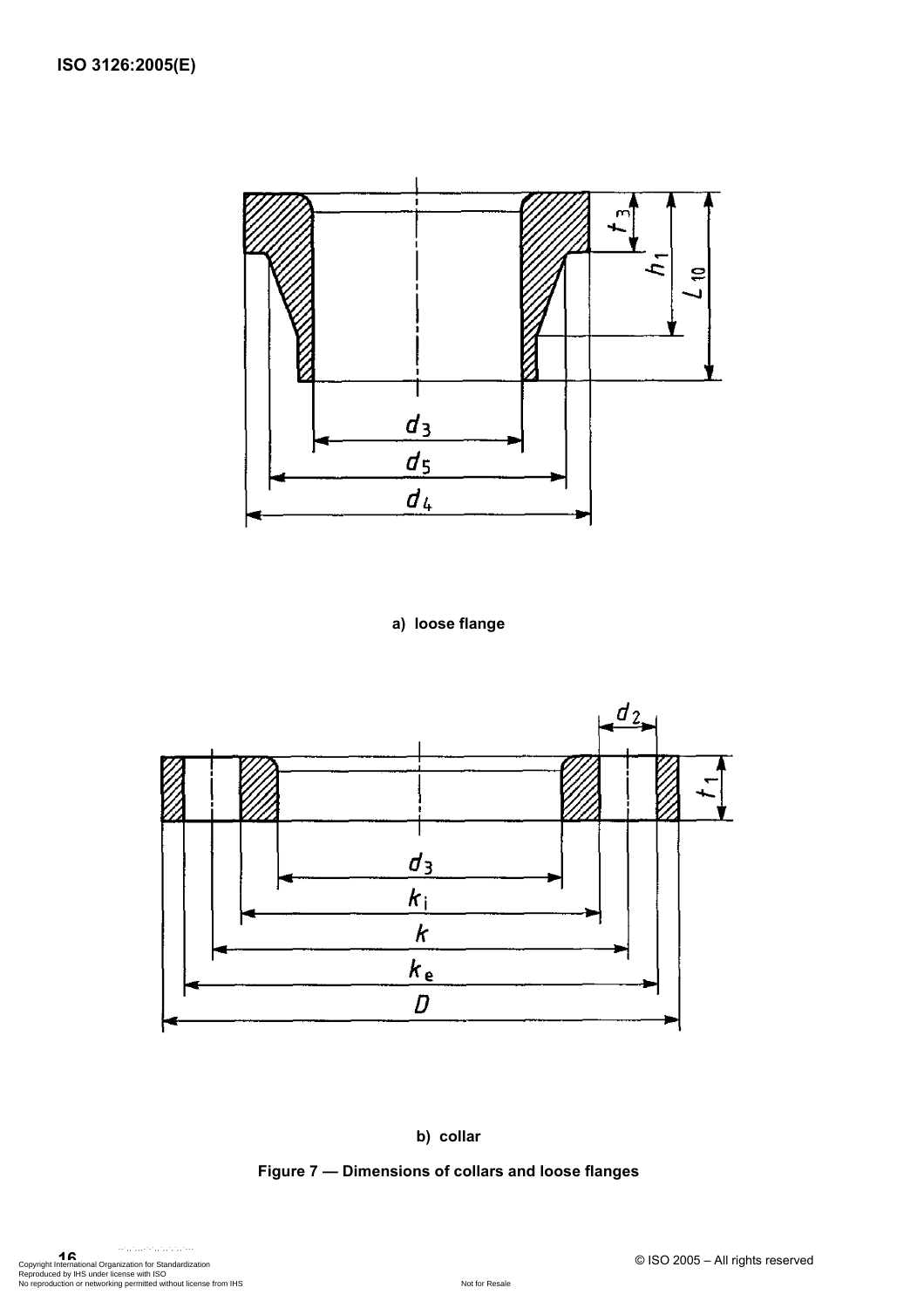

**a) loose flange** 



#### **b) collar**

### **Figure 7 — Dimensions of collars and loose flanges**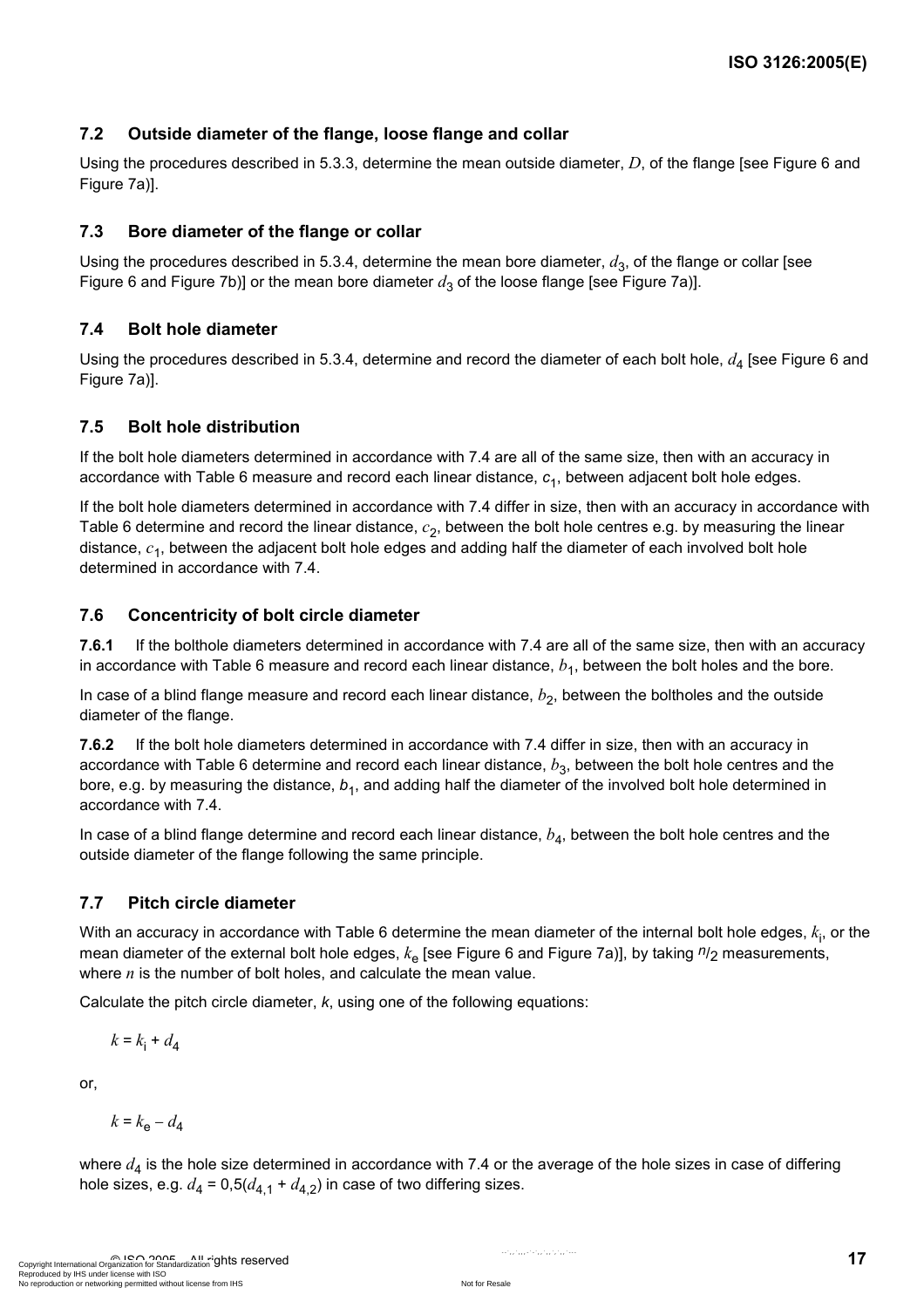### **7.2 Outside diameter of the flange, loose flange and collar**

Using the procedures described in 5.3.3, determine the mean outside diameter, *D*, of the flange [see Figure 6 and Figure 7a)].

#### **7.3 Bore diameter of the flange or collar**

Using the procedures described in 5.3.4, determine the mean bore diameter,  $d_3$ , of the flange or collar [see Figure 6 and Figure 7b)] or the mean bore diameter  $d_3$  of the loose flange [see Figure 7a)].

#### **7.4 Bolt hole diameter**

Using the procedures described in 5.3.4, determine and record the diameter of each bolt hole,  $d_4$  [see Figure 6 and Figure 7a)].

#### **7.5 Bolt hole distribution**

If the bolt hole diameters determined in accordance with 7.4 are all of the same size, then with an accuracy in accordance with Table 6 measure and record each linear distance, *c*1, between adjacent bolt hole edges.

If the bolt hole diameters determined in accordance with 7.4 differ in size, then with an accuracy in accordance with Table 6 determine and record the linear distance,  $c_2$ , between the bolt hole centres e.g. by measuring the linear distance, *c*1, between the adjacent bolt hole edges and adding half the diameter of each involved bolt hole determined in accordance with 7.4.

#### **7.6 Concentricity of bolt circle diameter**

**7.6.1** If the bolthole diameters determined in accordance with 7.4 are all of the same size, then with an accuracy in accordance with Table 6 measure and record each linear distance,  $b<sub>1</sub>$ , between the bolt holes and the bore.

In case of a blind flange measure and record each linear distance,  $b<sub>2</sub>$ , between the boltholes and the outside diameter of the flange.

**7.6.2** If the bolt hole diameters determined in accordance with 7.4 differ in size, then with an accuracy in accordance with Table 6 determine and record each linear distance,  $b_3$ , between the bolt hole centres and the bore, e.g. by measuring the distance,  $b_1$ , and adding half the diameter of the involved bolt hole determined in accordance with 7.4.

In case of a blind flange determine and record each linear distance,  $b<sub>A</sub>$ , between the bolt hole centres and the outside diameter of the flange following the same principle.

### **7.7 Pitch circle diameter**

With an accuracy in accordance with Table 6 determine the mean diameter of the internal bolt hole edges,  $k_\mathsf{i}$ , or the mean diameter of the external bolt hole edges,  $k_{\text{e}}$  [see Figure 6 and Figure 7a)], by taking  $n_{2}$  measurements, where *n* is the number of bolt holes, and calculate the mean value.

Calculate the pitch circle diameter, *k*, using one of the following equations:

$$
k = k_{\rm i} + d_{4}
$$

or,

$$
k = k_{\rm e} - d_{\rm 4}
$$

where  $d_4$  is the hole size determined in accordance with 7.4 or the average of the hole sizes in case of differing hole sizes, e.g.  $d_4 = 0.5(d_{4,1} + d_{4,2})$  in case of two differing sizes.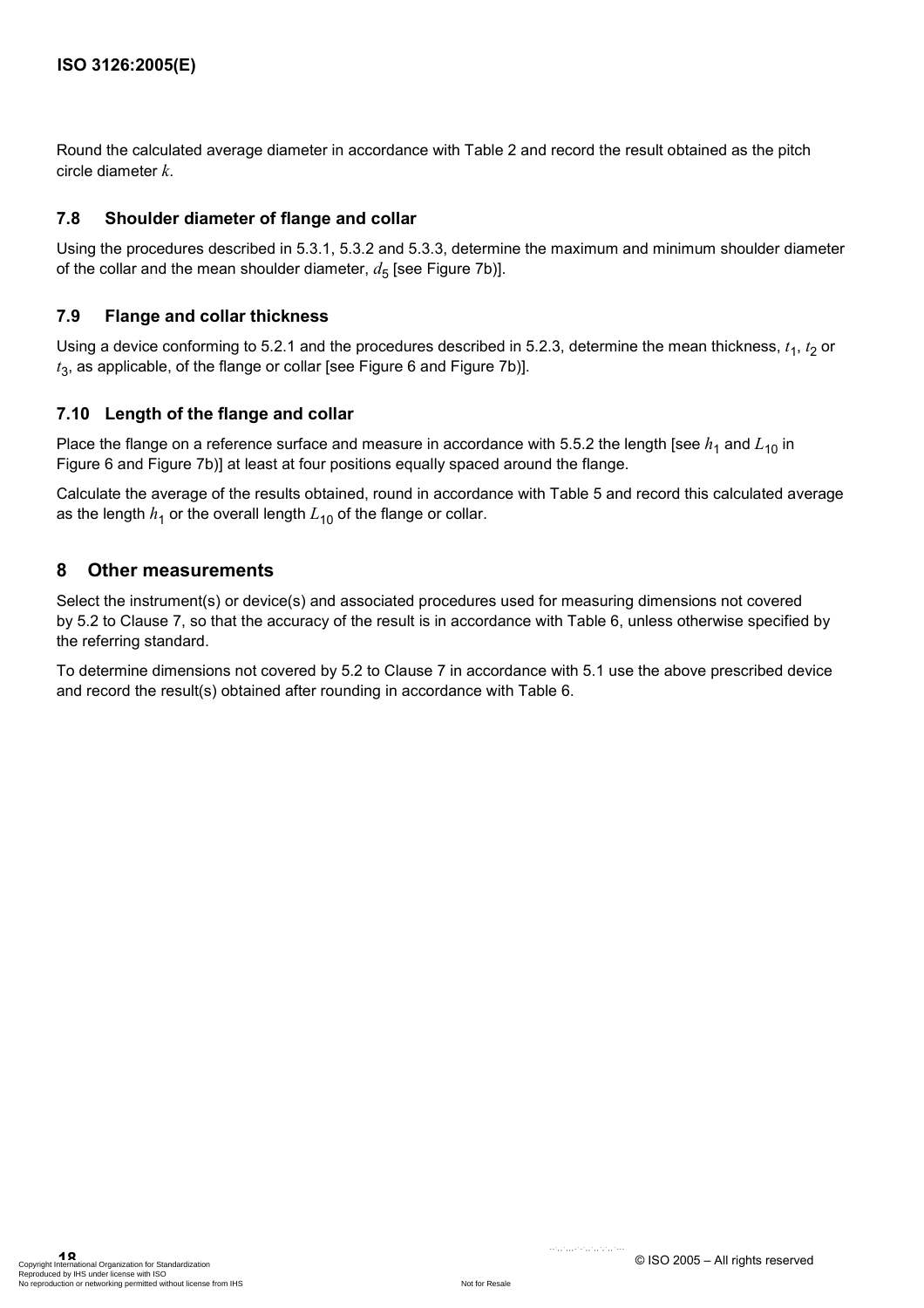Round the calculated average diameter in accordance with Table 2 and record the result obtained as the pitch circle diameter *k*.

### **7.8 Shoulder diameter of flange and collar**

Using the procedures described in 5.3.1, 5.3.2 and 5.3.3, determine the maximum and minimum shoulder diameter of the collar and the mean shoulder diameter,  $d_5$  [see Figure 7b)].

### **7.9 Flange and collar thickness**

Using a device conforming to 5.2.1 and the procedures described in 5.2.3, determine the mean thickness,  $t_1$ ,  $t_2$  or *t*3, as applicable, of the flange or collar [see Figure 6 and Figure 7b)].

### **7.10 Length of the flange and collar**

Place the flange on a reference surface and measure in accordance with 5.5.2 the length [see  $h_1$  and  $L_{10}$  in Figure 6 and Figure 7b)] at least at four positions equally spaced around the flange.

Calculate the average of the results obtained, round in accordance with Table 5 and record this calculated average as the length  $h_1$  or the overall length  $L_{10}$  of the flange or collar.

### **8 Other measurements**

Select the instrument(s) or device(s) and associated procedures used for measuring dimensions not covered by 5.2 to Clause 7, so that the accuracy of the result is in accordance with Table 6, unless otherwise specified by the referring standard.

To determine dimensions not covered by 5.2 to Clause 7 in accordance with 5.1 use the above prescribed device and record the result(s) obtained after rounding in accordance with Table 6.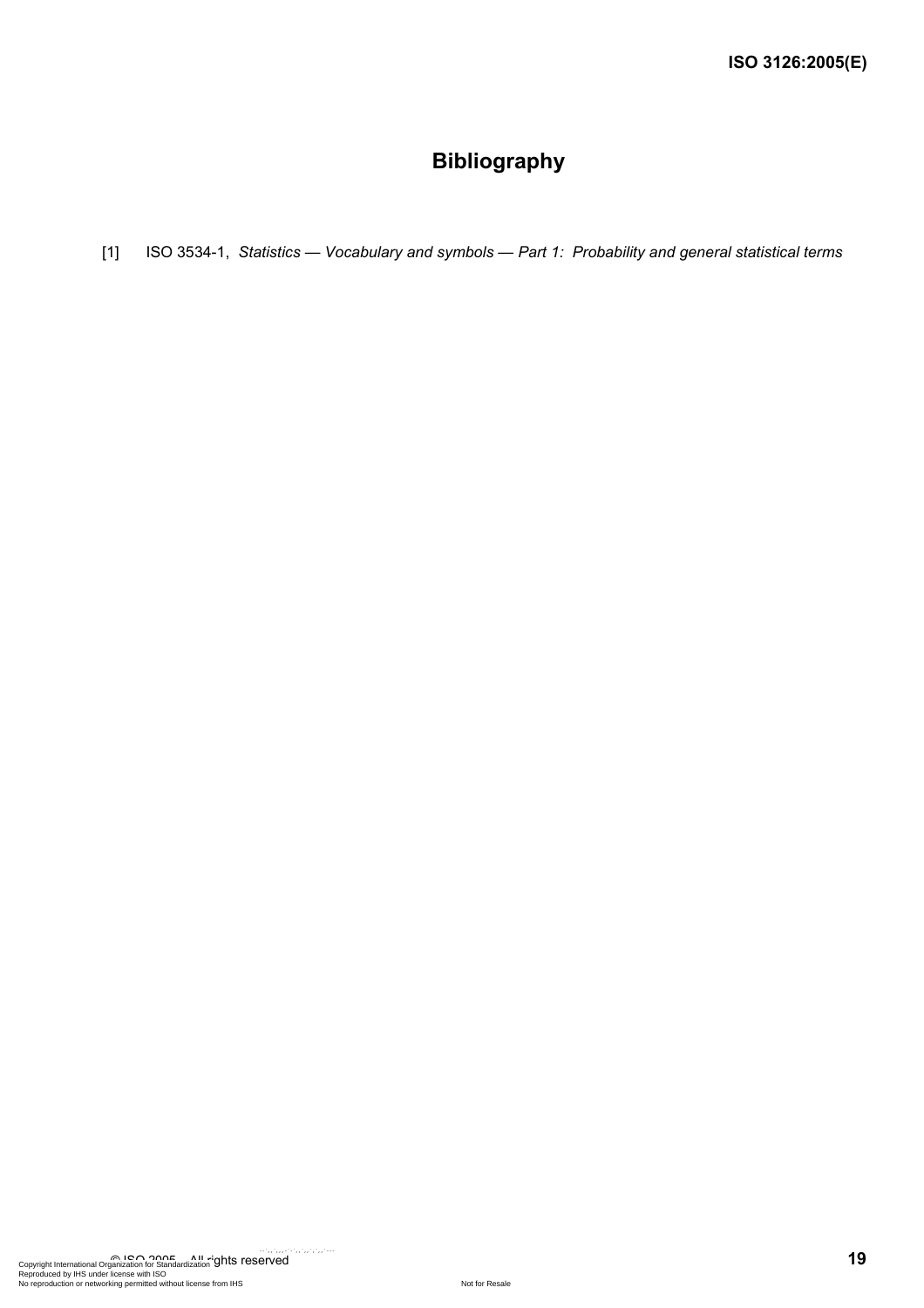## **Bibliography**

[1] ISO 3534-1, *Statistics — Vocabulary and symbols — Part 1: Probability and general statistical terms*